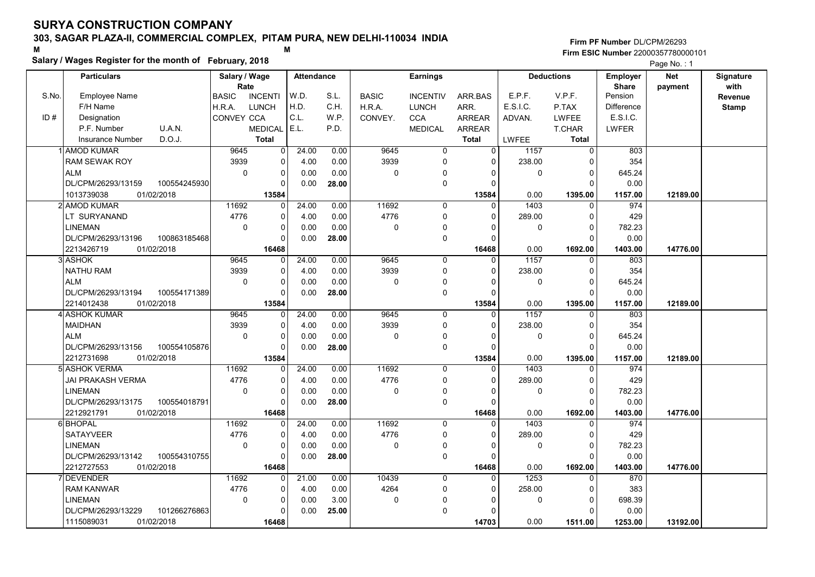### Salary / Wages Register for the month of February, 2018

|       |                                    | Salary / wages Register for the month of February, 2018<br>Salary / Wage<br><b>Attendance</b> |                   |       |              |                 |               |              |                   |                   | Page No.: 1 |              |
|-------|------------------------------------|-----------------------------------------------------------------------------------------------|-------------------|-------|--------------|-----------------|---------------|--------------|-------------------|-------------------|-------------|--------------|
|       | <b>Particulars</b>                 |                                                                                               |                   |       |              | Earnings        |               |              | <b>Deductions</b> | <b>Employer</b>   | <b>Net</b>  | Signature    |
|       |                                    | Rate                                                                                          |                   |       |              |                 |               |              |                   | <b>Share</b>      | payment     | with         |
| S.No. | <b>Employee Name</b>               | <b>BASIC</b><br><b>INCENTI</b>                                                                | W.D.              | S.L.  | <b>BASIC</b> | <b>INCENTIV</b> | ARR.BAS       | E.P.F.       | V.P.F.            | Pension           |             | Revenue      |
|       | F/H Name                           | H.R.A.<br><b>LUNCH</b>                                                                        | H.D.              | C.H.  | H.R.A.       | <b>LUNCH</b>    | ARR.          | E.S.I.C.     | P.TAX             | <b>Difference</b> |             | <b>Stamp</b> |
| ID#   | Designation                        | CONVEY CCA                                                                                    | C.L.              | W.P.  | CONVEY.      | <b>CCA</b>      | <b>ARREAR</b> | ADVAN.       | <b>LWFEE</b>      | E.S.I.C.          |             |              |
|       | U.A.N.<br>P.F. Number              | <b>MEDICAL</b>                                                                                | E.L.              | P.D.  |              | <b>MEDICAL</b>  | ARREAR        |              | T.CHAR            | <b>LWFER</b>      |             |              |
|       | D.O.J.<br><b>Insurance Number</b>  | <b>Total</b>                                                                                  |                   |       |              |                 | <b>Total</b>  | <b>LWFEE</b> | <b>Total</b>      |                   |             |              |
|       | <b>AMOD KUMAR</b>                  | 9645<br>$\overline{0}$                                                                        | 24.00             | 0.00  | 9645         | $\overline{0}$  | $\Omega$      | 1157         | $\overline{0}$    | 803               |             |              |
|       | <b>RAM SEWAK ROY</b>               | 3939<br>$\Omega$                                                                              | 4.00              | 0.00  | 3939         | 0               | $\Omega$      | 238.00       | $\mathbf 0$       | 354               |             |              |
|       | <b>ALM</b>                         | $\mathbf 0$<br>$\Omega$                                                                       | 0.00              | 0.00  | 0            | 0               | $\mathbf 0$   | 0            | $\mathbf 0$       | 645.24            |             |              |
|       | DL/CPM/26293/13159<br>100554245930 |                                                                                               | 0.00              | 28.00 |              | 0               | $\Omega$      |              | $\Omega$          | 0.00              |             |              |
|       | 01/02/2018<br>1013739038           | 13584                                                                                         |                   |       |              |                 | 13584         | 0.00         | 1395.00           | 1157.00           | 12189.00    |              |
|       | 2 AMOD KUMAR                       | 11692                                                                                         | 24.00             | 0.00  | 11692        | 0               | $\Omega$      | 1403         | $\mathbf{0}$      | 974               |             |              |
|       | LT SURYANAND                       | 4776<br>$\Omega$                                                                              | 4.00              | 0.00  | 4776         | 0               | $\mathbf 0$   | 289.00       | $\mathbf 0$       | 429               |             |              |
|       | <b>LINEMAN</b>                     | $\Omega$<br>$\Omega$                                                                          | 0.00              | 0.00  | $\Omega$     | 0               | $\Omega$      | $\mathbf{0}$ | $\Omega$          | 782.23            |             |              |
|       | DL/CPM/26293/13196<br>100863185468 |                                                                                               | 0.00              | 28.00 |              | 0               | $\mathbf 0$   |              | $\Omega$          | 0.00              |             |              |
|       | 2213426719<br>01/02/2018           | 16468                                                                                         |                   |       |              |                 | 16468         | 0.00         | 1692.00           | 1403.00           | 14776.00    |              |
|       | 3 ASHOK                            | 9645<br>$\Omega$                                                                              | $\frac{1}{24.00}$ | 0.00  | 9645         | 0               | $\mathbf 0$   | 1157         | $\mathbf 0$       | 803               |             |              |
|       | <b>NATHU RAM</b>                   | 3939<br>$\Omega$                                                                              | 4.00              | 0.00  | 3939         | 0               | $\mathbf 0$   | 238.00       | $\Omega$          | 354               |             |              |
|       | <b>ALM</b>                         | $\Omega$                                                                                      | 0.00              | 0.00  | $\Omega$     | 0               | $\Omega$      | $\mathbf{0}$ | $\Omega$          | 645.24            |             |              |
|       | DL/CPM/26293/13194<br>100554171389 |                                                                                               | 0.00              | 28.00 |              | 0               | $\Omega$      |              | $\Omega$          | 0.00              |             |              |
|       | 2214012438<br>01/02/2018           | 13584                                                                                         |                   |       |              |                 | 13584         | 0.00         | 1395.00           | 1157.00           | 12189.00    |              |
|       | 4 ASHOK KUMAR                      | 9645<br>$\Omega$                                                                              | 24.00             | 0.00  | 9645         | $\mathbf 0$     | $\mathbf 0$   | 1157         | $\mathbf{0}$      | 803               |             |              |
|       | <b>MAIDHAN</b>                     | 3939                                                                                          | 4.00              | 0.00  | 3939         | 0               | $\mathbf 0$   | 238.00       | $\mathbf 0$       | 354               |             |              |
|       | <b>ALM</b>                         | 0<br>$\Omega$                                                                                 | 0.00              | 0.00  | $\Omega$     | 0               | $\Omega$      | $\mathbf 0$  | $\mathbf 0$       | 645.24            |             |              |
|       | DL/CPM/26293/13156<br>100554105876 | $\Omega$                                                                                      | 0.00              | 28.00 |              | 0               | $\Omega$      |              | $\Omega$          | 0.00              |             |              |
|       | 01/02/2018<br>2212731698           | 13584                                                                                         |                   |       |              |                 | 13584         | 0.00         | 1395.00           | 1157.00           | 12189.00    |              |
|       | 5 ASHOK VERMA                      | 11692                                                                                         | 24.00             | 0.00  | 11692        | $\Omega$        | $\Omega$      | 1403         | $\Omega$          | 974               |             |              |
|       | JAI PRAKASH VERMA                  | 4776                                                                                          | 4.00              | 0.00  | 4776         | 0               | $\mathbf 0$   | 289.00       | $\mathbf 0$       | 429               |             |              |
|       | <b>LINEMAN</b>                     | $\mathbf 0$<br>$\Omega$                                                                       | 0.00              | 0.00  | $\Omega$     | 0               | $\mathbf 0$   | $\mathbf 0$  | $\mathbf 0$       | 782.23            |             |              |
|       | DL/CPM/26293/13175<br>100554018791 |                                                                                               | 0.00              | 28.00 |              | $\mathbf 0$     | $\Omega$      |              | $\Omega$          | 0.00              |             |              |
|       | 01/02/2018<br>2212921791           | 16468                                                                                         |                   |       |              |                 | 16468         | 0.00         | 1692.00           | 1403.00           | 14776.00    |              |
|       | 6 BHOPAL                           | 11692                                                                                         | 24.00             | 0.00  | 11692        | $\mathbf 0$     | $\Omega$      | 1403         | $\mathbf{0}$      | 974               |             |              |
|       | <b>SATAYVEER</b>                   | 4776<br>$\Omega$                                                                              | 4.00              | 0.00  | 4776         | 0               | $\mathbf 0$   | 289.00       | $\Omega$          | 429               |             |              |
|       | <b>LINEMAN</b>                     | 0<br>U                                                                                        | 0.00              | 0.00  | $\Omega$     | 0               | $\Omega$      | $\mathbf 0$  | $\mathbf 0$       | 782.23            |             |              |
|       | DL/CPM/26293/13142<br>100554310755 |                                                                                               | 0.00              | 28.00 |              | 0               | $\Omega$      |              | $\Omega$          | 0.00              |             |              |
|       | 2212727553<br>01/02/2018           | 16468                                                                                         |                   |       |              |                 | 16468         | 0.00         | 1692.00           | 1403.00           | 14776.00    |              |
|       | 7 DEVENDER                         | 11692                                                                                         | 21.00             | 0.00  | 10439        | 0               | $\mathbf 0$   | 1253         | $\Omega$          | 870               |             |              |
|       | <b>RAM KANWAR</b>                  | 4776<br>$\Omega$                                                                              | 4.00              | 0.00  | 4264         | 0               | $\mathbf 0$   | 258.00       | $\Omega$          | 383               |             |              |
|       | <b>LINEMAN</b>                     | $\Omega$<br>$\Omega$                                                                          | 0.00              | 3.00  | $\Omega$     | 0               | $\Omega$      | $\mathbf{0}$ | $\Omega$          | 698.39            |             |              |
|       | DL/CPM/26293/13229<br>101266276863 | $\Omega$                                                                                      | 0.00              | 25.00 |              | 0               | $\mathbf 0$   |              | $\Omega$          | 0.00              |             |              |
|       | 1115089031<br>01/02/2018           | 16468                                                                                         |                   |       |              |                 | 14703         | 0.00         | 1511.00           | 1253.00           | 13192.00    |              |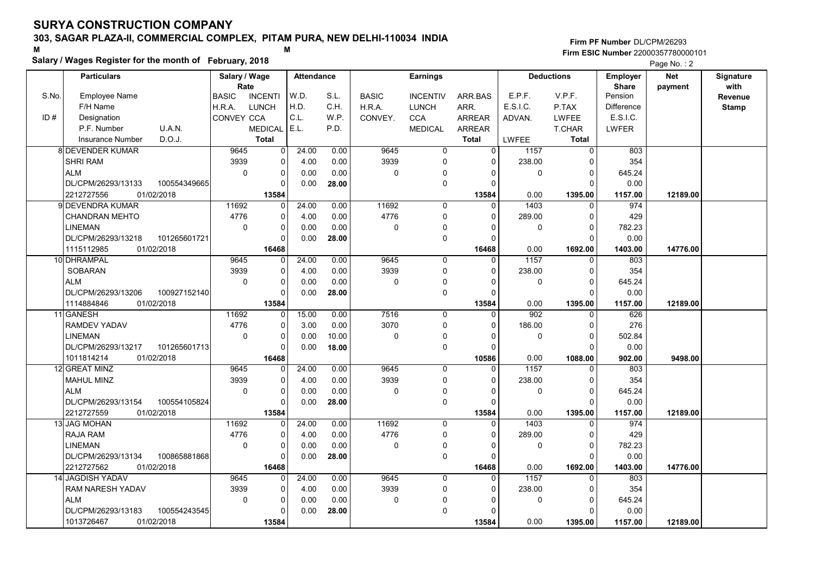### Salary / Wages Register for the month of February, 2018

#### Firm PF Number DL/CPM/26293 M<br>M Firm ESIC Number 22000357780000101

|       | <b>Particulars</b>               |              | Salary / Wage        |                   | <b>Attendance</b> |              |              | <b>Earnings</b> |                   |                      | <b>Deductions</b>       | <b>Employer</b>         | <b>Net</b> | Signature       |
|-------|----------------------------------|--------------|----------------------|-------------------|-------------------|--------------|--------------|-----------------|-------------------|----------------------|-------------------------|-------------------------|------------|-----------------|
| S.No. | <b>Employee Name</b>             |              | Rate<br><b>BASIC</b> | <b>INCENTI</b>    | W.D.              | S.L.         | <b>BASIC</b> | <b>INCENTIV</b> | ARR.BAS           | E.P.F.               | V.P.F.                  | <b>Share</b><br>Pension | payment    | with<br>Revenue |
|       | F/H Name                         |              | H.R.A.               | <b>LUNCH</b>      | H.D.              | C.H.         | H.R.A.       | <b>LUNCH</b>    | ARR.              | E.S.I.C.             | P.TAX                   | Difference              |            |                 |
| ID#   | Designation                      |              | CONVEY CCA           |                   | C.L.              | W.P.         | CONVEY.      | <b>CCA</b>      | ARREAR            |                      | LWFEE                   | E.S.I.C.                |            | <b>Stamp</b>    |
|       | P.F. Number                      | U.A.N.       |                      | <b>MEDICAL</b>    | E.L.              | P.D.         |              | <b>MEDICAL</b>  | <b>ARREAR</b>     | ADVAN.               | <b>T.CHAR</b>           | <b>LWFER</b>            |            |                 |
|       | <b>Insurance Number</b>          | D.O.J.       |                      | <b>Total</b>      |                   |              |              |                 | <b>Total</b>      |                      | Total                   |                         |            |                 |
|       | <b>8 DEVENDER KUMAR</b>          |              | 9645                 |                   | 24.00             | 0.00         | 9645         |                 | 0                 | <b>LWFEE</b><br>1157 |                         | 803                     |            |                 |
|       |                                  |              |                      | $\overline{0}$    |                   |              |              | 0<br>$\Omega$   | $\Omega$          |                      | 0<br>$\Omega$           |                         |            |                 |
|       | <b>SHRI RAM</b>                  |              | 3939                 | 0                 | 4.00              | 0.00         | 3939         |                 |                   | 238.00               |                         | 354                     |            |                 |
|       | <b>ALM</b>                       |              | $\Omega$             | 0                 | 0.00              | 0.00         | $\mathbf 0$  | 0               | $\Omega$          | $\mathbf{0}$         | $\Omega$<br>$\Omega$    | 645.24                  |            |                 |
|       | DL/CPM/26293/13133               | 100554349665 |                      | $\Omega$          | 0.00              | 28.00        |              | 0               | $\Omega$          |                      |                         | 0.00                    |            |                 |
|       | 2212727556                       | 01/02/2018   |                      | 13584             |                   |              |              |                 | 13584             | 0.00                 | 1395.00                 | 1157.00                 | 12189.00   |                 |
|       | 9 DEVENDRA KUMAR                 |              | 11692                | 0                 | 24.00             | 0.00         | 11692        | 0               | $\Omega$          | 1403                 | 0                       | 974                     |            |                 |
|       | <b>CHANDRAN MEHTO</b>            |              | 4776                 | 0                 | 4.00              | 0.00         | 4776         | 0               | $\Omega$          | 289.00               | $\mathbf 0$             | 429                     |            |                 |
|       | <b>LINEMAN</b>                   |              | $\mathbf 0$          | 0                 | 0.00              | 0.00         | $\mathbf 0$  | 0               | n                 | $\mathbf 0$          | $\mathbf 0$             | 782.23                  |            |                 |
|       | DL/CPM/26293/13218               | 101265601721 |                      | $\Omega$          | 0.00              | 28.00        |              | 0               |                   |                      | $\Omega$                | 0.00                    |            |                 |
|       | 1115112985                       | 01/02/2018   |                      | 16468             |                   |              | 9645         |                 | 16468<br>$\Omega$ | 0.00                 | 1692.00                 | 1403.00                 | 14776.00   |                 |
|       | 10 DHRAMPAL<br><b>SOBARAN</b>    |              | 9645<br>3939         | 0                 | 24.00             | 0.00<br>0.00 | 3939         | 0               | $\Omega$          | 1157<br>238.00       | $\Omega$<br>$\Omega$    | 803<br>354              |            |                 |
|       |                                  |              |                      | $\Omega$          | 4.00              |              | $\Omega$     | 0               | $\Omega$          |                      |                         |                         |            |                 |
|       | <b>ALM</b>                       |              | $\mathbf 0$          | 0                 | 0.00              | 0.00         |              | 0               |                   | $\mathbf 0$          | $\mathbf 0$<br>$\Omega$ | 645.24                  |            |                 |
|       | DL/CPM/26293/13206<br>1114884846 | 100927152140 |                      | $\Omega$<br>13584 | 0.00              | 28.00        |              | 0               | O<br>13584        | 0.00                 | 1395.00                 | 0.00                    | 12189.00   |                 |
|       | 11 GANESH                        | 01/02/2018   | 11692                | 0                 | 15.00             | 0.00         | 7516         | $\Omega$        |                   | 902                  | $\Omega$                | 1157.00<br>626          |            |                 |
|       | <b>RAMDEV YADAV</b>              |              | 4776                 | 0                 | 3.00              | 0.00         | 3070         | $\Omega$        | $\Omega$          | 186.00               | $\Omega$                | 276                     |            |                 |
|       | LINEMAN                          |              | $\mathbf 0$          | 0                 | 0.00              | 10.00        | $\mathbf 0$  | 0               |                   | $\mathbf 0$          | $\pmb{0}$               | 502.84                  |            |                 |
|       | DL/CPM/26293/13217               | 101265601713 |                      | $\Omega$          | 0.00              | 18.00        |              | 0               |                   |                      | $\Omega$                | 0.00                    |            |                 |
|       | 1011814214                       | 01/02/2018   |                      | 16468             |                   |              |              |                 | 10586             | 0.00                 | 1088.00                 | 902.00                  | 9498.00    |                 |
|       | 12 GREAT MINZ                    |              | 9645                 | 0                 | 24.00             | 0.00         | 9645         | 0               | $\Omega$          | 1157                 | $\mathbf 0$             | 803                     |            |                 |
|       | <b>MAHUL MINZ</b>                |              | 3939                 | $\Omega$          | 4.00              | 0.00         | 3939         | 0               | $\Omega$          | 238.00               | $\Omega$                | 354                     |            |                 |
|       | <b>ALM</b>                       |              | $\mathbf 0$          | 0                 | 0.00              | 0.00         | $\pmb{0}$    | $\mathbf{0}$    | $\Omega$          | $\mathbf 0$          | $\pmb{0}$               | 645.24                  |            |                 |
|       | DL/CPM/26293/13154               | 100554105824 |                      | $\Omega$          | 0.00              | 28.00        |              | 0               |                   |                      | $\Omega$                | 0.00                    |            |                 |
|       | 2212727559                       | 01/02/2018   |                      | 13584             |                   |              |              |                 | 13584             | 0.00                 | 1395.00                 | 1157.00                 | 12189.00   |                 |
|       | 13 JAG MOHAN                     |              | 11692                | 0                 | 24.00             | 0.00         | 11692        | 0               | O                 | 1403                 | $\Omega$                | 974                     |            |                 |
|       | RAJA RAM                         |              | 4776                 | 0                 | 4.00              | 0.00         | 4776         | 0               | $\Omega$          | 289.00               | 0                       | 429                     |            |                 |
|       | LINEMAN                          |              | $\Omega$             | 0                 | 0.00              | 0.00         | $\pmb{0}$    | $\Omega$        |                   | $\mathbf{0}$         | $\Omega$                | 782.23                  |            |                 |
|       | DL/CPM/26293/13134               | 100865881868 |                      | $\Omega$          | 0.00              | 28.00        |              | 0               | ∩                 |                      | $\Omega$                | 0.00                    |            |                 |
|       | 2212727562                       | 01/02/2018   |                      | 16468             |                   |              |              |                 | 16468             | 0.00                 | 1692.00                 | 1403.00                 | 14776.00   |                 |
|       | 14 JAGDISH YADAV                 |              | 9645                 | 0                 | 24.00             | 0.00         | 9645         | 0               | 0                 | 1157                 | 0                       | 803                     |            |                 |
|       | <b>RAM NARESH YADAV</b>          |              | 3939                 | 0                 | 4.00              | 0.00         | 3939         | 0               | $\Omega$          | 238.00               | $\mathbf 0$             | 354                     |            |                 |
|       | <b>ALM</b>                       |              | $\mathbf 0$          | 0                 | 0.00              | 0.00         | $\pmb{0}$    | 0               |                   | $\mathbf 0$          | $\Omega$                | 645.24                  |            |                 |
|       | DL/CPM/26293/13183               | 100554243545 |                      | 0                 | 0.00              | 28.00        |              | $\Omega$        |                   |                      | $\Omega$                | 0.00                    |            |                 |
|       | 1013726467                       | 01/02/2018   |                      | 13584             |                   |              |              |                 | 13584             | 0.00                 | 1395.00                 | 1157.00                 | 12189.00   |                 |
|       |                                  |              |                      |                   |                   |              |              |                 |                   |                      |                         |                         |            |                 |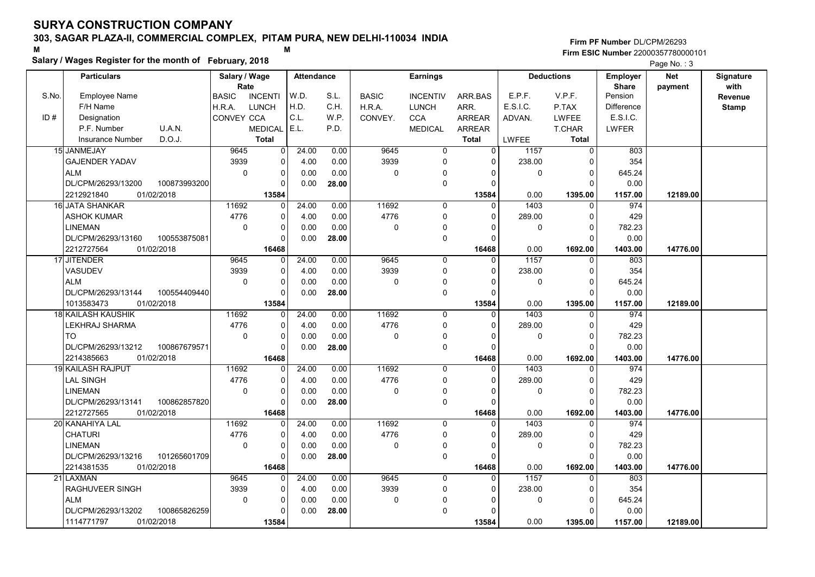### Salary / Wages Register for the month of February, 2018

#### Firm PF Number DL/CPM/26293 M<br>M Firm ESIC Number 22000357780000101

|       | <b>Particulars</b>                 | Salary / Wage           | <b>Attendance</b> |       |              | <b>Earnings</b> |               |              | <b>Deductions</b> | <b>Employer</b>         | <b>Net</b> | Signature    |
|-------|------------------------------------|-------------------------|-------------------|-------|--------------|-----------------|---------------|--------------|-------------------|-------------------------|------------|--------------|
| S.No. | <b>Employee Name</b>               | Rate<br><b>INCENTI</b>  | W.D.              | S.L.  | <b>BASIC</b> | <b>INCENTIV</b> |               | E.P.F.       | V.P.F.            | <b>Share</b><br>Pension | payment    | with         |
|       | F/H Name                           | <b>BASIC</b>            | H.D.              | C.H.  |              |                 | ARR.BAS       | E.S.I.C.     |                   |                         |            | Revenue      |
|       |                                    | <b>LUNCH</b><br>H.R.A.  |                   |       | H.R.A.       | <b>LUNCH</b>    | ARR.          |              | P.TAX             | Difference              |            | <b>Stamp</b> |
| ID#   | Designation                        | CONVEY CCA              | C.L.              | W.P.  | CONVEY.      | <b>CCA</b>      | <b>ARREAR</b> | ADVAN.       | <b>LWFEE</b>      | E.S.I.C.                |            |              |
|       | P.F. Number<br>U.A.N.              | <b>MEDICAL</b>          | E.L.              | P.D.  |              | <b>MEDICAL</b>  | <b>ARREAR</b> |              | T.CHAR            | LWFER                   |            |              |
|       | D.O.J.<br><b>Insurance Number</b>  | <b>Total</b>            |                   |       |              |                 | <b>Total</b>  | <b>LWFEE</b> | <b>Total</b>      |                         |            |              |
|       | 15 JANMEJAY                        | 9645<br>$\Omega$        | 24.00             | 0.00  | 9645         | $\mathbf 0$     | 0             | 1157         | $\mathbf 0$       | 803                     |            |              |
|       | <b>GAJENDER YADAV</b>              | 3939<br>0               | 4.00              | 0.00  | 3939         | 0               | 0             | 238.00       | $\Omega$          | 354                     |            |              |
|       | <b>ALM</b>                         | $\mathbf 0$<br>$\Omega$ | 0.00              | 0.00  | $\mathbf 0$  | $\mathbf{0}$    | 0             | $\mathbf 0$  | $\Omega$          | 645.24                  |            |              |
|       | DL/CPM/26293/13200<br>100873993200 | 0                       | 0.00              | 28.00 |              | $\Omega$        | $\Omega$      |              | $\Omega$          | 0.00                    |            |              |
|       | 2212921840<br>01/02/2018           | 13584                   |                   |       |              |                 | 13584         | 0.00         | 1395.00           | 1157.00                 | 12189.00   |              |
|       | 16 JATA SHANKAR                    | 11692<br>0              | 24.00             | 0.00  | 11692        | 0               | $\Omega$      | 1403         | $\mathbf{0}$      | 974                     |            |              |
|       | <b>ASHOK KUMAR</b>                 | 4776<br>$\Omega$        | 4.00              | 0.00  | 4776         | 0               | $\Omega$      | 289.00       | $\Omega$          | 429                     |            |              |
|       | <b>LINEMAN</b>                     | $\Omega$<br>$\mathbf 0$ | 0.00              | 0.00  | $\mathbf 0$  | $\mathbf{0}$    | $\Omega$      | $\mathbf 0$  | $\mathbf 0$       | 782.23                  |            |              |
|       | DL/CPM/26293/13160<br>100553875081 | $\Omega$                | 0.00              | 28.00 |              | 0               | $\Omega$      |              | $\Omega$          | 0.00                    |            |              |
|       | 2212727564<br>01/02/2018           | 16468                   |                   |       |              |                 | 16468         | 0.00         | 1692.00           | 1403.00                 | 14776.00   |              |
|       | 17 JITENDER                        | 9645<br>$\Omega$        | 24.00             | 0.00  | 9645         | $\mathbf 0$     | $\Omega$      | 1157         | $\mathbf{0}$      | 803                     |            |              |
|       | VASUDEV                            | 3939<br>0               | 4.00              | 0.00  | 3939         | $\mathbf{0}$    | $\Omega$      | 238.00       | $\Omega$          | 354                     |            |              |
|       | <b>ALM</b>                         | $\mathbf 0$<br>$\Omega$ | 0.00              | 0.00  | $\Omega$     | $\mathbf{0}$    | n             | 0            | $\Omega$          | 645.24                  |            |              |
|       | 100554409440<br>DL/CPM/26293/13144 | $\Omega$                | 0.00              | 28.00 |              | 0               | $\Omega$      |              | $\Omega$          | 0.00                    |            |              |
|       | 01/02/2018<br>1013583473           | 13584                   |                   |       |              |                 | 13584         | 0.00         | 1395.00           | 1157.00                 | 12189.00   |              |
|       | 18 KAILASH KAUSHIK                 | 11692<br>$\Omega$       | 24.00             | 0.00  | 11692        | $\mathbf 0$     | 0             | 1403         | 0                 | 974                     |            |              |
|       | LEKHRAJ SHARMA                     | 4776<br>$\mathbf 0$     | 4.00              | 0.00  | 4776         | 0               | $\Omega$      | 289.00       | $\Omega$          | 429                     |            |              |
|       | TO                                 | $\Omega$<br>$\Omega$    | 0.00              | 0.00  | $\Omega$     | $\mathbf 0$     | $\Omega$      | 0            | $\mathbf 0$       | 782.23                  |            |              |
|       | 100867679571<br>DL/CPM/26293/13212 | $\Omega$                | 0.00              | 28.00 |              | 0               | $\Omega$      |              | $\Omega$          | 0.00                    |            |              |
|       | 2214385663<br>01/02/2018           | 16468                   |                   |       |              |                 | 16468         | 0.00         | 1692.00           | 1403.00                 | 14776.00   |              |
|       | <b>19 KAILASH RAJPUT</b>           | 11692<br>0              | 24.00             | 0.00  | 11692        | $\mathbf 0$     | $\Omega$      | 1403         | $\Omega$          | 974                     |            |              |
|       | <b>LAL SINGH</b>                   | 4776<br>$\mathbf 0$     | 4.00              | 0.00  | 4776         | 0               | $\Omega$      | 289.00       | $\mathbf 0$       | 429                     |            |              |
|       | <b>LINEMAN</b>                     | $\Omega$<br>$\Omega$    | 0.00              | 0.00  | $\Omega$     | $\mathbf{0}$    | $\Omega$      | 0            | $\Omega$          | 782.23                  |            |              |
|       | DL/CPM/26293/13141<br>100862857820 | $\Omega$                | 0.00              | 28.00 |              | 0               | $\Omega$      |              | $\Omega$          | 0.00                    |            |              |
|       | 2212727565<br>01/02/2018           | 16468                   |                   |       |              |                 | 16468         | 0.00         | 1692.00           | 1403.00                 | 14776.00   |              |
|       | 20 KANAHIYA LAL                    | 11692<br>0              | 24.00             | 0.00  | 11692        | $\Omega$        | 0             | 1403         | $\Omega$          | 974                     |            |              |
|       | <b>CHATURI</b>                     | 4776<br>0               | 4.00              | 0.00  | 4776         | 0               | $\Omega$      | 289.00       | $\mathbf 0$       | 429                     |            |              |
|       | LINEMAN                            | $\Omega$<br>$\Omega$    | 0.00              | 0.00  | $\mathbf 0$  | 0               | 0             | 0            | $\mathbf 0$       | 782.23                  |            |              |
|       | DL/CPM/26293/13216<br>101265601709 | $\mathbf 0$             | 0.00              | 28.00 |              | 0               | $\Omega$      |              | $\Omega$          | 0.00                    |            |              |
|       | 01/02/2018<br>2214381535           | 16468                   |                   |       |              |                 | 16468         | 0.00         | 1692.00           | 1403.00                 | 14776.00   |              |
|       | 21 LAXMAN                          | 9645<br>$\Omega$        | 24.00             | 0.00  | 9645         | $\mathbf 0$     | $\Omega$      | 1157         | $\mathbf{0}$      | 803                     |            |              |
|       | RAGHUVEER SINGH                    | 3939<br>$\mathbf 0$     | 4.00              | 0.00  | 3939         | 0               | 0             | 238.00       | $\Omega$          | 354                     |            |              |
|       | <b>ALM</b>                         | $\Omega$<br>$\Omega$    | 0.00              | 0.00  | $\mathbf 0$  | $\mathbf{0}$    | $\Omega$      | 0            | $\mathbf 0$       | 645.24                  |            |              |
|       | DL/CPM/26293/13202<br>100865826259 | $\Omega$                | 0.00              | 28.00 |              | $\Omega$        |               |              | $\Omega$          | 0.00                    |            |              |
|       | 1114771797<br>01/02/2018           | 13584                   |                   |       |              |                 | 13584         | 0.00         | 1395.00           | 1157.00                 | 12189.00   |              |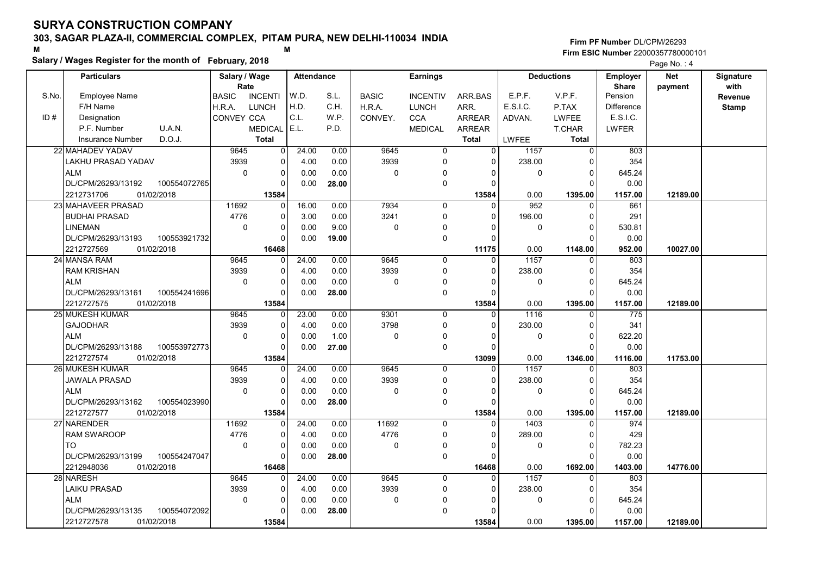### Salary / Wages Register for the month of February, 2018

|       | Salary / wages Register for the month of February, 2018 |                 |                |                   |       |              |                 |                |              |                   |                   | Page No.: 4 |                  |
|-------|---------------------------------------------------------|-----------------|----------------|-------------------|-------|--------------|-----------------|----------------|--------------|-------------------|-------------------|-------------|------------------|
|       | <b>Particulars</b>                                      | Salary / Wage   |                | <b>Attendance</b> |       |              | <b>Earnings</b> |                |              | <b>Deductions</b> | Employer          | <b>Net</b>  | <b>Signature</b> |
|       |                                                         | Rate            |                |                   |       |              |                 |                |              |                   | <b>Share</b>      | payment     | with             |
| S.No. | Employee Name                                           | <b>BASIC</b>    | <b>INCENTI</b> | W.D.              | S.L.  | <b>BASIC</b> | <b>INCENTIV</b> | ARR.BAS        | E.P.F.       | V.P.F.            | Pension           |             | Revenue          |
|       | F/H Name                                                | H.R.A.<br>LUNCH |                | H.D.              | C.H.  | H.R.A.       | <b>LUNCH</b>    | ARR.           | E.S.I.C.     | P.TAX             | <b>Difference</b> |             | <b>Stamp</b>     |
| ID#   | Designation                                             | CONVEY CCA      |                | C.L.              | W.P.  | CONVEY.      | <b>CCA</b>      | <b>ARREAR</b>  | ADVAN.       | <b>LWFEE</b>      | E.S.I.C.          |             |                  |
|       | U.A.N.<br>P.F. Number                                   |                 | <b>MEDICAL</b> | E.L.              | P.D.  |              | <b>MEDICAL</b>  | <b>ARREAR</b>  |              | <b>T.CHAR</b>     | <b>LWFER</b>      |             |                  |
|       | D.O.J.<br><b>Insurance Number</b>                       |                 | <b>Total</b>   |                   |       |              |                 | <b>Total</b>   | LWFEE        | <b>Total</b>      |                   |             |                  |
|       | 22 MAHADEV YADAV                                        | 9645            | 0              | 24.00             | 0.00  | 9645         | $\overline{0}$  | $\overline{0}$ | 1157         | $\overline{0}$    | 803               |             |                  |
|       | LAKHU PRASAD YADAV                                      | 3939            | $\Omega$       | 4.00              | 0.00  | 3939         | 0               | $\Omega$       | 238.00       | $\Omega$          | 354               |             |                  |
|       | <b>ALM</b>                                              | $\pmb{0}$       | 0              | 0.00              | 0.00  | $\mathbf 0$  | 0               | $\mathbf{0}$   | $\mathbf 0$  | $\mathbf 0$       | 645.24            |             |                  |
|       | DL/CPM/26293/13192<br>100554072765                      |                 | $\Omega$       | 0.00              | 28.00 |              | 0               | $\Omega$       |              | $\Omega$          | 0.00              |             |                  |
|       | 01/02/2018<br>2212731706                                |                 | 13584          |                   |       |              |                 | 13584          | 0.00         | 1395.00           | 1157.00           | 12189.00    |                  |
|       | 23 MAHAVEER PRASAD                                      | 11692           | 0              | 16.00             | 0.00  | 7934         | $\mathbf 0$     | $\Omega$       | 952          | $\mathbf{0}$      | 661               |             |                  |
|       | <b>BUDHAI PRASAD</b>                                    | 4776            | 0              | 3.00              | 0.00  | 3241         | 0               | $\Omega$       | 196.00       | $\Omega$          | 291               |             |                  |
|       | LINEMAN                                                 | $\Omega$        | 0              | 0.00              | 9.00  | $\mathbf 0$  | 0               | $\Omega$       | 0            | $\Omega$          | 530.81            |             |                  |
|       | DL/CPM/26293/13193<br>100553921732                      |                 | $\Omega$       | 0.00              | 19.00 |              | 0               | $\Omega$       |              | $\Omega$          | 0.00              |             |                  |
|       | 2212727569<br>01/02/2018                                |                 | 16468          |                   |       |              |                 | 11175          | 0.00         | 1148.00           | 952.00            | 10027.00    |                  |
|       | 24 MANSA RAM                                            | 9645            | 0              | 24.00             | 0.00  | 9645         | $\mathbf 0$     | $\mathbf 0$    | 1157         | $\mathbf 0$       | 803               |             |                  |
|       | <b>RAM KRISHAN</b>                                      | 3939            | 0              | 4.00              | 0.00  | 3939         | 0               | $\Omega$       | 238.00       | $\Omega$          | 354               |             |                  |
|       | <b>ALM</b>                                              | $\Omega$        | $\Omega$       | 0.00              | 0.00  | $\mathbf 0$  | 0               | $\Omega$       | 0            | $\Omega$          | 645.24            |             |                  |
|       | 100554241696<br>DL/CPM/26293/13161                      |                 | 0              | 0.00              | 28.00 |              | 0               | $\Omega$       |              | $\Omega$          | 0.00              |             |                  |
|       | 2212727575<br>01/02/2018                                |                 | 13584          |                   |       |              |                 | 13584          | 0.00         | 1395.00           | 1157.00           | 12189.00    |                  |
|       | 25 MUKESH KUMAR                                         | 9645            | 0              | 23.00             | 0.00  | 9301         | $\Omega$        | $\Omega$       | 1116         | $\Omega$          | 775               |             |                  |
|       | <b>GAJODHAR</b>                                         | 3939            | 0              | 4.00              | 0.00  | 3798         | 0               | $\Omega$       | 230.00       | $\Omega$          | 341               |             |                  |
|       | <b>ALM</b>                                              | $\mathbf 0$     | 0              | 0.00              | 1.00  | $\mathbf 0$  | $\Omega$        | $\Omega$       | 0            | $\mathbf 0$       | 622.20            |             |                  |
|       | DL/CPM/26293/13188<br>100553972773                      |                 | $\Omega$       | 0.00              | 27.00 |              | 0               | $\Omega$       |              | $\Omega$          | 0.00              |             |                  |
|       | 2212727574<br>01/02/2018                                |                 | 13584          |                   |       |              |                 | 13099          | 0.00         | 1346.00           | 1116.00           | 11753.00    |                  |
|       | 26 MUKESH KUMAR                                         | 9645            | 0              | 24.00             | 0.00  | 9645         | 0               | $\Omega$       | 1157         | $\mathbf{0}$      | 803               |             |                  |
|       | <b>JAWALA PRASAD</b>                                    | 3939            | 0              | 4.00              | 0.00  | 3939         | 0               | $\Omega$       | 238.00       | $\Omega$          | 354               |             |                  |
|       | <b>ALM</b>                                              | $\mathbf 0$     | 0              | 0.00              | 0.00  | $\mathbf 0$  | 0               | $\Omega$       | 0            | $\Omega$          | 645.24            |             |                  |
|       | DL/CPM/26293/13162<br>100554023990                      |                 | $\Omega$       | 0.00              | 28.00 |              | 0               | $\Omega$       |              | $\Omega$          | 0.00              |             |                  |
|       | 2212727577<br>01/02/2018                                |                 | 13584          |                   |       |              |                 | 13584          | 0.00         | 1395.00           | 1157.00           | 12189.00    |                  |
|       | 27 NARENDER                                             | 11692           | 0              | 24.00             | 0.00  | 11692        | 0               | $\Omega$       | 1403         | $\mathbf 0$       | 974               |             |                  |
|       | <b>RAM SWAROOP</b>                                      | 4776            | 0              | 4.00              | 0.00  | 4776         | 0               | $\Omega$       | 289.00       | $\Omega$          | 429               |             |                  |
|       | TO                                                      | $\Omega$        | $\Omega$       | 0.00              | 0.00  | $\mathbf 0$  | 0               | $\Omega$       | $\mathbf{0}$ | $\Omega$          | 782.23            |             |                  |
|       | 100554247047<br>DL/CPM/26293/13199                      |                 | $\Omega$       | 0.00              | 28.00 |              | $\mathbf 0$     | $\Omega$       |              | $\Omega$          | 0.00              |             |                  |
|       | 2212948036<br>01/02/2018                                |                 | 16468          |                   |       |              |                 | 16468          | 0.00         | 1692.00           | 1403.00           | 14776.00    |                  |
|       | 28 NARESH                                               | 9645            | O              | 24.00             | 0.00  | 9645         | $\overline{0}$  | $\Omega$       | 1157         | $\Omega$          | 803               |             |                  |
|       | LAIKU PRASAD                                            | 3939            | 0              | 4.00              | 0.00  | 3939         | 0               | $\Omega$       | 238.00       | $\Omega$          | 354               |             |                  |
|       | <b>ALM</b>                                              | $\mathbf 0$     | 0              | 0.00              | 0.00  | $\mathbf 0$  | $\Omega$        | 0              | $\mathbf 0$  | $\Omega$          | 645.24            |             |                  |
|       | DL/CPM/26293/13135<br>100554072092                      |                 | $\Omega$       | 0.00              | 28.00 |              | 0               | $\Omega$       |              | $\Omega$          | 0.00              |             |                  |
|       | 2212727578<br>01/02/2018                                |                 | 13584          |                   |       |              |                 | 13584          | 0.00         | 1395.00           | 1157.00           | 12189.00    |                  |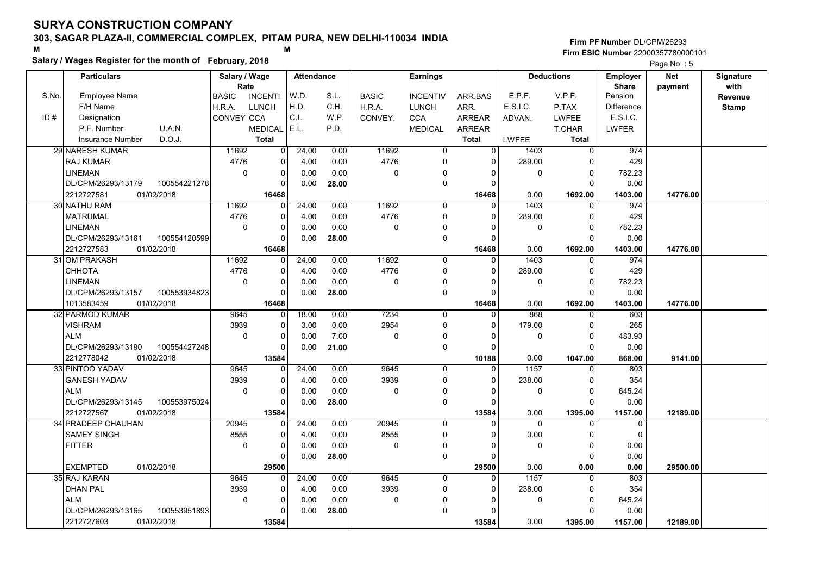### Salary / Wages Register for the month of February, 2018

|       | Salary / wages Register for the month of February, 2018 |                                |                   |                   |              |              |                            |                      |                |                      |                   | Page No.: 5 |              |
|-------|---------------------------------------------------------|--------------------------------|-------------------|-------------------|--------------|--------------|----------------------------|----------------------|----------------|----------------------|-------------------|-------------|--------------|
|       | <b>Particulars</b>                                      | Salary / Wage                  |                   | <b>Attendance</b> |              |              | <b>Earnings</b>            |                      |                | <b>Deductions</b>    | <b>Employer</b>   | <b>Net</b>  | Signature    |
|       |                                                         | Rate                           |                   |                   |              |              |                            |                      |                |                      | <b>Share</b>      | payment     | with         |
| S.No. | <b>Employee Name</b>                                    | <b>BASIC</b><br><b>INCENTI</b> |                   | W.D.              | S.L.         | <b>BASIC</b> | <b>INCENTIV</b>            | ARR BAS              | E.P.F.         | V.P.F.               | Pension           |             | Revenue      |
|       | F/H Name                                                | <b>LUNCH</b><br>H.R.A.         |                   | H.D.              | C.H.         | H.R.A.       | <b>LUNCH</b>               | ARR.                 | E.S.I.C.       | P.TAX                | <b>Difference</b> |             | <b>Stamp</b> |
| ID#   | Designation                                             | CONVEY CCA                     |                   | C.L.              | W.P.         | CONVEY.      | <b>CCA</b>                 | <b>ARREAR</b>        | ADVAN.         | <b>LWFEE</b>         | E.S.I.C.          |             |              |
|       | U.A.N.<br>P.F. Number                                   | <b>MEDICAL</b>                 |                   | E.L.              | P.D.         |              | <b>MEDICAL</b>             | <b>ARREAR</b>        |                | <b>T.CHAR</b>        | <b>LWFER</b>      |             |              |
|       | D.O.J.<br><b>Insurance Number</b>                       | <b>Total</b>                   |                   |                   |              |              |                            | <b>Total</b>         | LWFEE          | <b>Total</b>         |                   |             |              |
|       | <b>29 NARESH KUMAR</b>                                  | 11692                          | $\overline{0}$    | 24.00             | 0.00         | 11692        | $\overline{0}$             | $\overline{0}$       | 1403           | $\overline{0}$       | 974               |             |              |
|       | <b>RAJ KUMAR</b>                                        | 4776                           | $\Omega$          | 4.00              | 0.00         | 4776         | $\mathbf 0$                | $\Omega$             | 289.00         | $\Omega$             | 429               |             |              |
|       | <b>LINEMAN</b>                                          | $\pmb{0}$                      | 0                 | 0.00              | 0.00         | 0            | $\mathbf{0}$               | $\Omega$             | 0              | $\mathbf 0$          | 782.23            |             |              |
|       | DL/CPM/26293/13179<br>100554221278                      |                                | $\Omega$          | 0.00              | 28.00        |              | $\mathbf 0$                | $\Omega$             |                | $\Omega$             | 0.00              |             |              |
|       | 2212727581<br>01/02/2018                                |                                | 16468             |                   |              |              |                            | 16468                | 0.00           | 1692.00              | 1403.00           | 14776.00    |              |
|       | 30 NATHU RAM                                            | 11692                          | $\Omega$          | 24.00             | 0.00         | 11692        | 0                          | $\Omega$             | 1403           | $\Omega$             | 974               |             |              |
|       | <b>MATRUMAL</b>                                         | 4776                           | 0                 | 4.00              | 0.00         | 4776         | $\mathbf 0$                | $\Omega$             | 289.00         | $\Omega$             | 429               |             |              |
|       | <b>LINEMAN</b>                                          | $\Omega$                       | $\Omega$          | 0.00              | 0.00         | 0            | 0                          | $\Omega$             | 0              | $\Omega$             | 782.23            |             |              |
|       | DL/CPM/26293/13161<br>100554120599                      |                                | $\Omega$          | 0.00              | 28.00        |              | $\mathbf 0$                | $\Omega$             |                | $\Omega$             | 0.00              |             |              |
|       | 2212727583<br>01/02/2018                                |                                | 16468             |                   |              |              |                            | 16468                | 0.00           | 1692.00              | 1403.00           | 14776.00    |              |
|       | 31 OM PRAKASH                                           | 11692                          | 0                 | 24.00             | 0.00         | 11692        | $\mathbf 0$                | $\mathbf 0$          | 1403           | $\Omega$             | 974               |             |              |
|       | СННОТА                                                  | 4776                           | 0                 | 4.00              | 0.00         | 4776         | $\mathbf 0$                | $\Omega$             | 289.00         | $\mathbf 0$          | 429               |             |              |
|       | <b>LINEMAN</b>                                          | $\mathbf 0$                    | $\Omega$          | 0.00              | 0.00         | 0            | 0                          | $\Omega$             | 0              | $\Omega$             | 782.23            |             |              |
|       | 100553934823<br>DL/CPM/26293/13157                      |                                | 0                 | 0.00              | 28.00        |              | $\mathbf 0$                | $\Omega$             |                | $\Omega$             | 0.00              |             |              |
|       | 1013583459<br>01/02/2018                                |                                | 16468             |                   |              |              |                            | 16468                | 0.00           | 1692.00              | 1403.00           | 14776.00    |              |
|       | 32 PARMOD KUMAR                                         | 9645                           | 0                 | 18.00             | 0.00         | 7234         | $\Omega$                   | $\Omega$             | 868            | $\Omega$             | 603               |             |              |
|       | <b>VISHRAM</b>                                          | 3939                           | 0                 | 3.00              | 0.00         | 2954         | $\mathbf 0$                | $\Omega$             | 179.00         | $\Omega$             | 265               |             |              |
|       | <b>ALM</b>                                              | $\mathbf 0$                    | 0                 | 0.00              | 7.00         | $\Omega$     | $\mathbf{0}$               | 0                    | 0              | $\overline{0}$       | 483.93            |             |              |
|       | DL/CPM/26293/13190<br>100554427248                      |                                | U                 | 0.00              | 21.00        |              | $\mathbf 0$                | $\Omega$             |                | $\Omega$             | 0.00              |             |              |
|       | 2212778042<br>01/02/2018                                |                                | 13584             |                   |              |              |                            | 10188                | 0.00           | 1047.00              | 868.00            | 9141.00     |              |
|       | 33 PINTOO YADAV<br><b>GANESH YADAV</b>                  | 9645<br>3939                   | $\Omega$<br>0     | 24.00<br>4.00     | 0.00<br>0.00 | 9645<br>3939 | $\mathbf 0$<br>$\mathbf 0$ | $\Omega$<br>$\Omega$ | 1157<br>238.00 | $\Omega$<br>$\Omega$ | 803<br>354        |             |              |
|       | <b>ALM</b>                                              | $\mathbf 0$                    | 0                 | 0.00              | 0.00         | 0            |                            | $\Omega$             | 0              | $\Omega$             | 645.24            |             |              |
|       | 100553975024                                            |                                | $\Omega$          |                   |              |              | 0<br>$\mathbf 0$           | $\Omega$             |                | C                    |                   |             |              |
|       | DL/CPM/26293/13145                                      |                                |                   | 0.00              | 28.00        |              |                            |                      | 0.00           |                      | 0.00              |             |              |
|       | 2212727567<br>01/02/2018<br>34 PRADEEP CHAUHAN          | 20945                          | 13584<br>$\Omega$ | 24.00             | 0.00         | 20945        | 0                          | 13584<br>$\Omega$    | 0              | 1395.00<br>$\Omega$  | 1157.00           | 12189.00    |              |
|       | <b>SAMEY SINGH</b>                                      | 8555                           | 0                 | 4.00              | 0.00         | 8555         | $\mathbf 0$                | $\Omega$             | 0.00           | $\Omega$             | 0<br>$\mathbf 0$  |             |              |
|       |                                                         | $\mathbf 0$                    | $\Omega$          | 0.00              |              | 0            | 0                          | $\Omega$             | 0              | $\Omega$             | 0.00              |             |              |
|       | <b>FITTER</b>                                           |                                | $\Omega$          | 0.00              | 0.00         |              | $\mathbf 0$                | $\Omega$             |                | $\Omega$             | 0.00              |             |              |
|       | <b>EXEMPTED</b><br>01/02/2018                           |                                |                   |                   | 28.00        |              |                            |                      | 0.00           |                      |                   |             |              |
|       | 35 RAJ KARAN                                            | 9645                           | 29500<br>0        | 24.00             | 0.00         | 9645         | $\mathbf 0$                | 29500<br>0           | 1157           | 0.00<br>$\Omega$     | 0.00<br>803       | 29500.00    |              |
|       | <b>DHAN PAL</b>                                         | 3939                           | 0                 | 4.00              | 0.00         | 3939         | 0                          | 0                    | 238.00         | $\Omega$             | 354               |             |              |
|       | <b>ALM</b>                                              | $\mathbf 0$                    | 0                 | 0.00              | 0.00         | 0            | $\mathbf{0}$               | 0                    | 0              | $\overline{0}$       | 645.24            |             |              |
|       | DL/CPM/26293/13165<br>100553951893                      |                                | U                 | 0.00              | 28.00        |              | $\mathbf 0$                | $\Omega$             |                | $\Omega$             | 0.00              |             |              |
|       | 2212727603<br>01/02/2018                                |                                | 13584             |                   |              |              |                            | 13584                | 0.00           | 1395.00              |                   | 12189.00    |              |
|       |                                                         |                                |                   |                   |              |              |                            |                      |                |                      | 1157.00           |             |              |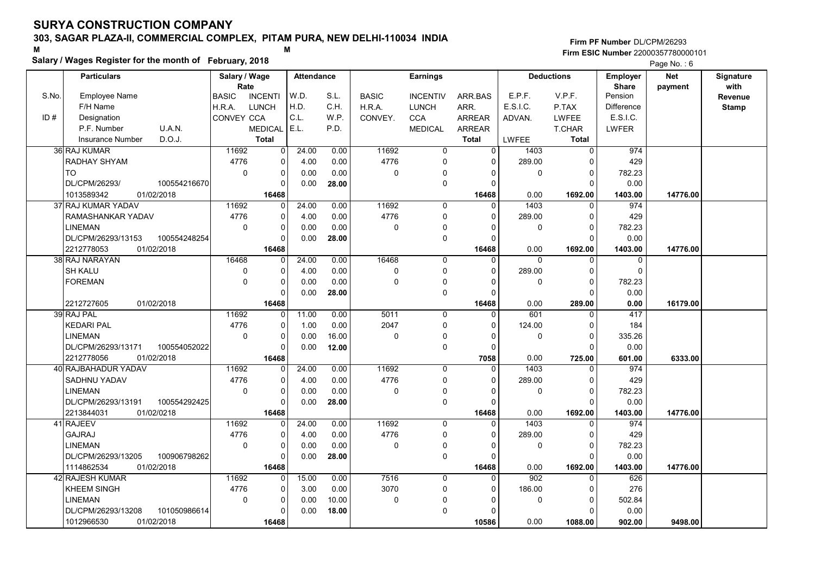### Salary / Wages Register for the month of February, 2018

#### Firm PF Number DL/CPM/26293 M<br>M Firm ESIC Number 22000357780000101

|       | <b>Particulars</b>                   | Salary / Wage        |                | <b>Attendance</b> |       |              | <b>Earnings</b> |                |              | <b>Deductions</b> | <b>Employer</b>         | <b>Net</b> | Signature    |
|-------|--------------------------------------|----------------------|----------------|-------------------|-------|--------------|-----------------|----------------|--------------|-------------------|-------------------------|------------|--------------|
| S.No. | <b>Employee Name</b>                 | Rate<br><b>BASIC</b> | <b>INCENTI</b> | W.D.              | S.L.  | <b>BASIC</b> | <b>INCENTIV</b> | ARR.BAS        | E.P.F.       | V.P.F.            | <b>Share</b><br>Pension | payment    | with         |
|       | F/H Name                             |                      | <b>LUNCH</b>   | H.D.              | C.H.  |              |                 | ARR.           | E.S.I.C.     | P.TAX             | <b>Difference</b>       |            | Revenue      |
| ID#   |                                      | H.R.A.               |                | C.L.              | W.P.  | H.R.A.       | <b>LUNCH</b>    |                |              |                   | E.S.I.C.                |            | <b>Stamp</b> |
|       | Designation<br>P.F. Number<br>U.A.N. | CONVEY CCA           |                |                   | P.D.  | CONVEY.      | <b>CCA</b>      | <b>ARREAR</b>  | ADVAN.       | <b>LWFEE</b>      |                         |            |              |
|       |                                      |                      | <b>MEDICAL</b> | E.L.              |       |              | <b>MEDICAL</b>  | <b>ARREAR</b>  |              | T.CHAR            | LWFER                   |            |              |
|       | D.O.J.<br><b>Insurance Number</b>    |                      | <b>Total</b>   |                   |       |              |                 | <b>Total</b>   | LWFEE        | <b>Total</b>      |                         |            |              |
|       | 36 RAJ KUMAR                         | 11692                | 0              | 24.00             | 0.00  | 11692        | 0               | $\overline{0}$ | 1403         | $\mathbf 0$       | 974                     |            |              |
|       | RADHAY SHYAM                         | 4776                 | 0              | 4.00              | 0.00  | 4776         | 0               | 0              | 289.00       | $\Omega$          | 429                     |            |              |
|       | <b>TO</b>                            | $\mathbf 0$          | 0              | 0.00              | 0.00  | $\mathbf 0$  | 0               | $\Omega$       | $\mathbf 0$  | $\mathbf 0$       | 782.23                  |            |              |
|       | DL/CPM/26293/<br>100554216670        |                      | 0              | 0.00              | 28.00 |              | 0               | $\Omega$       |              | $\Omega$          | 0.00                    |            |              |
|       | 1013589342<br>01/02/2018             |                      | 16468          |                   |       |              |                 | 16468          | 0.00         | 1692.00           | 1403.00                 | 14776.00   |              |
|       | 37 RAJ KUMAR YADAV                   | 11692                | $\Omega$       | 24.00             | 0.00  | 11692        | $\Omega$        | $\Omega$       | 1403         | $\mathbf{0}$      | 974                     |            |              |
|       | RAMASHANKAR YADAV                    | 4776                 | 0              | 4.00              | 0.00  | 4776         | 0               | $\Omega$       | 289.00       | $\mathbf 0$       | 429                     |            |              |
|       | <b>LINEMAN</b>                       | $\mathbf 0$          | 0              | 0.00              | 0.00  | $\mathbf 0$  | $\Omega$        | $\Omega$       | 0            | $\mathbf 0$       | 782.23                  |            |              |
|       | DL/CPM/26293/13153<br>100554248254   |                      | $\Omega$       | 0.00              | 28.00 |              | 0               | $\Omega$       |              | $\mathbf 0$       | 0.00                    |            |              |
|       | 2212778053<br>01/02/2018             |                      | 16468          |                   |       |              |                 | 16468          | 0.00         | 1692.00           | 1403.00                 | 14776.00   |              |
|       | 38 RAJ NARAYAN                       | 16468                | $\Omega$       | 24.00             | 0.00  | 16468        | 0               | $\Omega$       | $\mathbf{0}$ | $\mathbf 0$       | $\mathbf 0$             |            |              |
|       | <b>SH KALU</b>                       | 0                    | 0              | 4.00              | 0.00  | $\pmb{0}$    | 0               | 0              | 289.00       | $\mathbf 0$       | $\mathbf 0$             |            |              |
|       | <b>FOREMAN</b>                       | $\Omega$             | $\Omega$       | 0.00              | 0.00  | $\mathbf 0$  | $\Omega$        | $\Omega$       | $\mathbf 0$  | $\Omega$          | 782.23                  |            |              |
|       |                                      |                      | $\Omega$       | 0.00              | 28.00 |              | 0               | $\Omega$       |              | $\Omega$          | 0.00                    |            |              |
|       | 2212727605<br>01/02/2018             |                      | 16468          |                   |       |              |                 | 16468          | 0.00         | 289.00            | 0.00                    | 16179.00   |              |
|       | 39 RAJ PAL                           | 11692                | $\Omega$       | 11.00             | 0.00  | 5011         | $\mathbf 0$     | $\Omega$       | 601          | $\mathbf 0$       | 417                     |            |              |
|       | <b>KEDARI PAL</b>                    | 4776                 | 0              | 1.00              | 0.00  | 2047         | 0               | $\Omega$       | 124.00       | $\mathbf 0$       | 184                     |            |              |
|       | <b>LINEMAN</b>                       | $\mathbf 0$          | $\Omega$       | 0.00              | 16.00 | $\mathbf 0$  | 0               | $\Omega$       | $\mathbf 0$  | $\Omega$          | 335.26                  |            |              |
|       | DL/CPM/26293/13171<br>100554052022   |                      | $\Omega$       | 0.00              | 12.00 |              | 0               | $\Omega$       |              | $\Omega$          | 0.00                    |            |              |
|       | 2212778056<br>01/02/2018             |                      | 16468          |                   |       |              |                 | 7058           | 0.00         | 725.00            | 601.00                  | 6333.00    |              |
|       | 40 RAJBAHADUR YADAV                  | 11692                | $\Omega$       | 24.00             | 0.00  | 11692        | 0               | $\Omega$       | 1403         | $\mathbf 0$       | 974                     |            |              |
|       | <b>SADHNU YADAV</b>                  | 4776                 | 0              | 4.00              | 0.00  | 4776         | 0               | $\Omega$       | 289.00       | $\mathbf 0$       | 429                     |            |              |
|       | <b>LINEMAN</b>                       | $\Omega$             | $\Omega$       | 0.00              | 0.00  | $\Omega$     | 0               | $\Omega$       | 0            | $\mathbf 0$       | 782.23                  |            |              |
|       | DL/CPM/26293/13191<br>100554292425   |                      | $\mathbf 0$    | 0.00              | 28.00 |              | 0               | $\Omega$       |              | $\Omega$          | 0.00                    |            |              |
|       | 2213844031<br>01/02/0218             |                      | 16468          |                   |       |              |                 | 16468          | 0.00         | 1692.00           | 1403.00                 | 14776.00   |              |
|       | 41 RAJEEV                            | 11692                | $\Omega$       | 24.00             | 0.00  | 11692        | $\Omega$        | $\Omega$       | 1403         | $\Omega$          | 974                     |            |              |
|       | <b>GAJRAJ</b>                        | 4776                 | $\Omega$       | 4.00              | 0.00  | 4776         | 0               | $\Omega$       | 289.00       | $\mathbf 0$       | 429                     |            |              |
|       | <b>LINEMAN</b>                       | $\mathbf 0$          | 0              | 0.00              | 0.00  | $\pmb{0}$    | 0               | $\Omega$       | 0            | $\Omega$          | 782.23                  |            |              |
|       | DL/CPM/26293/13205<br>100906798262   |                      | 0              | 0.00              | 28.00 |              | 0               | 0              |              | $\Omega$          | 0.00                    |            |              |
|       | 1114862534<br>01/02/2018             |                      | 16468          |                   |       |              |                 | 16468          | 0.00         | 1692.00           | 1403.00                 | 14776.00   |              |
|       | 42 RAJESH KUMAR                      | 11692                | 0              | 15.00             | 0.00  | 7516         | $\mathbf 0$     | $\Omega$       | 902          | $\mathbf 0$       | 626                     |            |              |
|       | <b>KHEEM SINGH</b>                   | 4776                 | 0              | 3.00              | 0.00  | 3070         | 0               | $\mathbf{0}$   | 186.00       | $\Omega$          | 276                     |            |              |
|       | <b>LINEMAN</b>                       | $\mathbf 0$          | 0              | 0.00              | 10.00 | $\mathbf 0$  | 0               | $\Omega$       | 0            | $\mathbf 0$       | 502.84                  |            |              |
|       | 101050986614<br>DL/CPM/26293/13208   |                      | 0              | 0.00              | 18.00 |              | $\Omega$        | ŋ              |              | $\Omega$          | 0.00                    |            |              |
|       | 1012966530<br>01/02/2018             |                      | 16468          |                   |       |              |                 | 10586          | 0.00         | 1088.00           | 902.00                  | 9498.00    |              |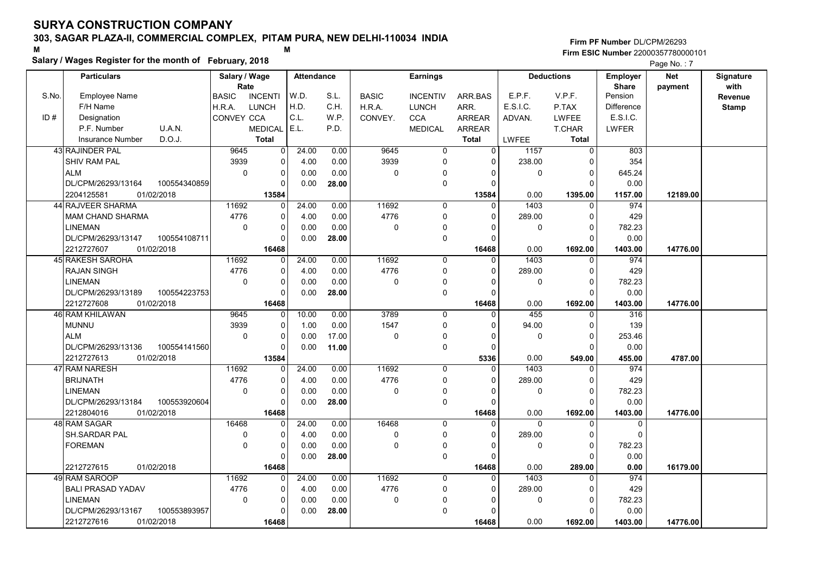### Salary / Wages Register for the month of February, 2018

#### Firm PF Number DL/CPM/26293 M<br>M Firm ESIC Number 22000357780000101

|       | <b>Particulars</b>                 | Salary / Wage        |                | Attendance |       |                | <b>Earnings</b> |                |              | <b>Deductions</b> | Employer                | <b>Net</b> | Signature       |
|-------|------------------------------------|----------------------|----------------|------------|-------|----------------|-----------------|----------------|--------------|-------------------|-------------------------|------------|-----------------|
| S.No. | Employee Name                      | Rate<br><b>BASIC</b> | <b>INCENTI</b> | W.D.       | S.L.  | <b>BASIC</b>   | <b>INCENTIV</b> | ARR.BAS        | E.P.F.       | V.P.F.            | <b>Share</b><br>Pension | payment    | with<br>Revenue |
|       | F/H Name                           | H.R.A.               | <b>LUNCH</b>   | H.D.       | C.H.  | H.R.A.         | <b>LUNCH</b>    | ARR.           | E.S.I.C.     | P.TAX             | <b>Difference</b>       |            | <b>Stamp</b>    |
| ID#   | Designation                        | CONVEY CCA           |                | C.L.       | W.P.  | CONVEY.        | <b>CCA</b>      | <b>ARREAR</b>  | ADVAN.       | <b>LWFEE</b>      | E.S.I.C.                |            |                 |
|       | P.F. Number<br>U.A.N.              |                      | <b>MEDICAL</b> | E.L.       | P.D.  |                | <b>MEDICAL</b>  | ARREAR         |              | T.CHAR            | <b>LWFER</b>            |            |                 |
|       | D.O.J.<br><b>Insurance Number</b>  |                      | <b>Total</b>   |            |       |                |                 | <b>Total</b>   | <b>LWFEE</b> | Total             |                         |            |                 |
|       | 43 RAJINDER PAL                    | 9645                 | 0              | 24.00      | 0.00  | 9645           | 0               | 0              | 1157         | $\overline{0}$    | 803                     |            |                 |
|       | <b>SHIV RAM PAL</b>                | 3939                 | 0              | 4.00       | 0.00  | 3939           | 0               | $\mathbf 0$    | 238.00       | $\Omega$          | 354                     |            |                 |
|       | <b>ALM</b>                         | $\mathbf 0$          | 0              | 0.00       | 0.00  | 0              | $\mathbf 0$     | $\Omega$       | $\mathbf 0$  | $\Omega$          | 645.24                  |            |                 |
|       | DL/CPM/26293/13164<br>100554340859 |                      | $\Omega$       | 0.00       | 28.00 |                | $\mathbf 0$     | $\Omega$       |              | $\Omega$          | 0.00                    |            |                 |
|       | 01/02/2018<br>2204125581           |                      | 13584          |            |       |                |                 | 13584          | 0.00         | 1395.00           | 1157.00                 | 12189.00   |                 |
|       | 44 RAJVEER SHARMA                  | 11692                | 0              | 24.00      | 0.00  | 11692          | 0               | $\Omega$       | 1403         | $\mathbf 0$       | 974                     |            |                 |
|       | <b>MAM CHAND SHARMA</b>            | 4776                 | 0              | 4.00       | 0.00  | 4776           | $\mathbf 0$     | 0              | 289.00       | $\mathbf 0$       | 429                     |            |                 |
|       | <b>LINEMAN</b>                     | $\Omega$             | 0              | 0.00       | 0.00  | 0              | $\Omega$        | $\Omega$       | 0            | $\Omega$          | 782.23                  |            |                 |
|       | DL/CPM/26293/13147<br>100554108711 |                      | $\Omega$       | 0.00       | 28.00 |                | $\mathbf 0$     | $\Omega$       |              | $\Omega$          | 0.00                    |            |                 |
|       | 2212727607<br>01/02/2018           |                      | 16468          |            |       |                |                 | 16468          | 0.00         | 1692.00           | 1403.00                 | 14776.00   |                 |
|       | 45 RAKESH SAROHA                   | 11692                | 0              | 24.00      | 0.00  | 11692          | $\mathbf 0$     | $\mathbf 0$    | 1403         | 0                 | 974                     |            |                 |
|       | <b>RAJAN SINGH</b>                 | 4776                 | 0              | 4.00       | 0.00  | 4776           | $\mathbf 0$     | $\Omega$       | 289.00       | $\Omega$          | 429                     |            |                 |
|       | <b>LINEMAN</b>                     | $\Omega$             | 0              | 0.00       | 0.00  | $\Omega$       | $\Omega$        | $\Omega$       | $\mathbf 0$  | $\overline{0}$    | 782.23                  |            |                 |
|       | DL/CPM/26293/13189<br>100554223753 |                      | 0              | 0.00       | 28.00 |                | $\mathbf 0$     | $\Omega$       |              | $\Omega$          | 0.00                    |            |                 |
|       | 2212727608<br>01/02/2018           |                      | 16468          |            |       |                |                 | 16468          | 0.00         | 1692.00           | 1403.00                 | 14776.00   |                 |
|       | 46 RAM KHILAWAN                    | 9645                 | 0              | 10.00      | 0.00  | 3789           | $\mathbf 0$     | $\overline{0}$ | 455          | $\Omega$          | $\overline{316}$        |            |                 |
|       | <b>MUNNU</b>                       | 3939                 | 0              | 1.00       | 0.00  | 1547           | $\mathbf 0$     | $\Omega$       | 94.00        | $\mathbf 0$       | 139                     |            |                 |
|       | <b>ALM</b>                         | $\Omega$             | 0              | 0.00       | 17.00 | 0              | 0               | $\Omega$       | 0            | $\Omega$          | 253.46                  |            |                 |
|       | DL/CPM/26293/13136<br>100554141560 |                      | $\Omega$       | 0.00       | 11.00 |                | $\mathbf 0$     | $\Omega$       |              | $\Omega$          | 0.00                    |            |                 |
|       | 2212727613<br>01/02/2018           |                      | 13584          |            |       |                |                 | 5336           | 0.00         | 549.00            | 455.00                  | 4787.00    |                 |
|       | 47 RAM NARESH                      | 11692                | 0              | 24.00      | 0.00  | 11692          | $\mathbf 0$     | $\Omega$       | 1403         | $\Omega$          | 974                     |            |                 |
|       | <b>BRIJNATH</b>                    | 4776                 | 0              | 4.00       | 0.00  | 4776           | $\mathbf 0$     | $\Omega$       | 289.00       | $\Omega$          | 429                     |            |                 |
|       | <b>LINEMAN</b>                     | $\pmb{0}$            | 0              | 0.00       | 0.00  | 0              | 0               | $\Omega$       | 0            | $\mathbf 0$       | 782.23                  |            |                 |
|       | DL/CPM/26293/13184<br>100553920604 |                      | 0              | 0.00       | 28.00 |                | $\mathbf 0$     | $\Omega$       |              | $\Omega$          | 0.00                    |            |                 |
|       | 2212804016<br>01/02/2018           |                      | 16468          |            |       |                |                 | 16468          | 0.00         | 1692.00           | 1403.00                 | 14776.00   |                 |
|       | 48 RAM SAGAR                       | 16468                | $\Omega$       | 24.00      | 0.00  | 16468          | $\Omega$        | $\Omega$       | $\Omega$     | $\Omega$          | 0                       |            |                 |
|       | SH.SARDAR PAL                      | 0                    | 0              | 4.00       | 0.00  | 0              | 0               | $\Omega$       | 289.00       | $\mathbf 0$       | $\mathbf 0$             |            |                 |
|       | <b>FOREMAN</b>                     | $\mathbf 0$          | 0              | 0.00       | 0.00  | $\overline{0}$ | $\mathbf 0$     | $\mathbf{0}$   | 0            | $\mathbf 0$       | 782.23                  |            |                 |
|       |                                    |                      | $\Omega$       | 0.00       | 28.00 |                | $\Omega$        | $\Omega$       |              | $\Omega$          | 0.00                    |            |                 |
|       | 2212727615<br>01/02/2018           |                      | 16468          |            |       |                |                 | 16468          | 0.00         | 289.00            | 0.00                    | 16179.00   |                 |
|       | 49 RAM SAROOP                      | 11692                | 0              | 24.00      | 0.00  | 11692          | $\mathbf 0$     | $\Omega$       | 1403         | $\Omega$          | 974                     |            |                 |
|       | <b>BALI PRASAD YADAV</b>           | 4776                 | 0              | 4.00       | 0.00  | 4776           | $\mathbf 0$     | $\mathbf 0$    | 289.00       | $\mathbf 0$       | 429                     |            |                 |
|       | <b>LINEMAN</b>                     | $\mathbf 0$          | 0              | 0.00       | 0.00  | 0              | 0               | $\Omega$       | 0            | $\Omega$          | 782.23                  |            |                 |
|       | DL/CPM/26293/13167<br>100553893957 |                      | $\Omega$       | 0.00       | 28.00 |                | $\Omega$        | $\Omega$       |              | $\Omega$          | 0.00                    |            |                 |
|       | 2212727616<br>01/02/2018           |                      | 16468          |            |       |                |                 | 16468          | 0.00         | 1692.00           | 1403.00                 | 14776.00   |                 |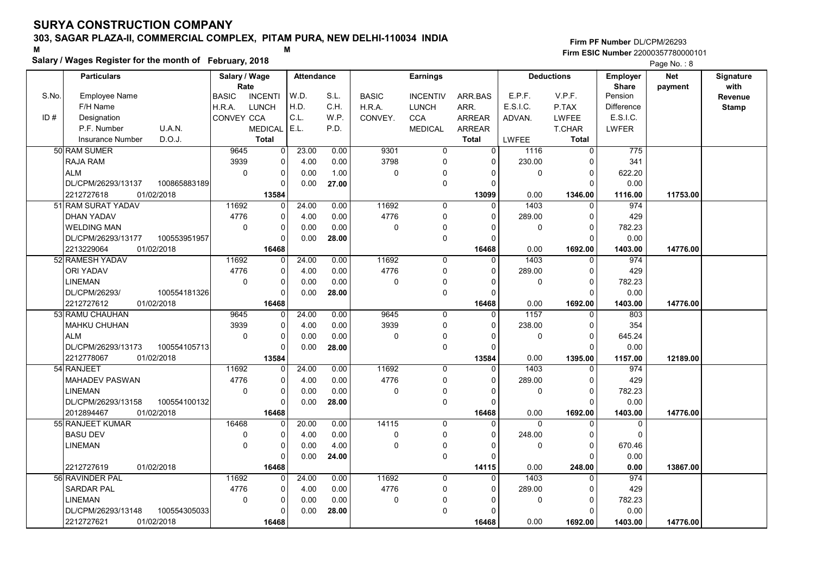### Salary / Wages Register for the month of February, 2018

#### Firm PF Number DL/CPM/26293 M<br>M Firm ESIC Number 22000357780000101

|       | <b>Particulars</b>                |              | Salary / Wage        |                | <b>Attendance</b> |       |              | <b>Earnings</b> |                |             | <b>Deductions</b> | <b>Employer</b>         | <b>Net</b> | Signature       |
|-------|-----------------------------------|--------------|----------------------|----------------|-------------------|-------|--------------|-----------------|----------------|-------------|-------------------|-------------------------|------------|-----------------|
| S.No. | Employee Name                     |              | Rate<br><b>BASIC</b> | <b>INCENTI</b> | W.D.              | S.L.  | <b>BASIC</b> | <b>INCENTIV</b> | ARR.BAS        | E.P.F.      | V.P.F.            | <b>Share</b><br>Pension | payment    | with<br>Revenue |
|       | F/H Name                          |              | H.R.A.               | <b>LUNCH</b>   | H.D.              | C.H.  | H.R.A.       | <b>LUNCH</b>    | ARR.           | E.S.I.C.    | P.TAX             | <b>Difference</b>       |            | <b>Stamp</b>    |
| ID#   | Designation                       |              | CONVEY CCA           |                | C.L.              | W.P.  | CONVEY.      | <b>CCA</b>      | <b>ARREAR</b>  | ADVAN.      | <b>LWFEE</b>      | E.S.I.C.                |            |                 |
|       | P.F. Number<br>U.A.N.             |              |                      | <b>MEDICAL</b> | E.L.              | P.D.  |              | <b>MEDICAL</b>  | ARREAR         |             | T.CHAR            | LWFER                   |            |                 |
|       | <b>Insurance Number</b><br>D.O.J. |              |                      | <b>Total</b>   |                   |       |              |                 | Total          | LWFEE       | <b>Total</b>      |                         |            |                 |
|       | 50 RAM SUMER                      |              | 9645                 | $\overline{0}$ | 23.00             | 0.00  | 9301         | $\mathbf 0$     | $\overline{0}$ | 1116        | $\overline{0}$    | 775                     |            |                 |
|       | <b>RAJA RAM</b>                   |              | 3939                 | $\mathbf 0$    | 4.00              | 0.00  | 3798         | $\mathbf 0$     | $\mathbf{0}$   | 230.00      | $\Omega$          | 341                     |            |                 |
|       | <b>ALM</b>                        |              | $\Omega$             | 0              | 0.00              | 1.00  | $\mathbf 0$  | $\mathbf{0}$    | $\Omega$       | $\mathbf 0$ | $\Omega$          | 622.20                  |            |                 |
|       | DL/CPM/26293/13137                | 100865883189 |                      | $\Omega$       | 0.00              | 27.00 |              | $\mathbf 0$     | $\Omega$       |             | $\Omega$          | 0.00                    |            |                 |
|       | 2212727618<br>01/02/2018          |              |                      | 13584          |                   |       |              |                 | 13099          | 0.00        | 1346.00           | 1116.00                 | 11753.00   |                 |
|       | 51 RAM SURAT YADAV                |              | 11692                | $\mathbf 0$    | 24.00             | 0.00  | 11692        | $\mathbf 0$     | $\mathbf{0}$   | 1403        | $\mathbf{0}$      | 974                     |            |                 |
|       | <b>DHAN YADAV</b>                 |              | 4776                 | 0              | 4.00              | 0.00  | 4776         | $\mathbf 0$     | $\Omega$       | 289.00      | $\Omega$          | 429                     |            |                 |
|       | <b>WELDING MAN</b>                |              | $\mathbf 0$          | 0              | 0.00              | 0.00  | $\mathbf 0$  | 0               | $\Omega$       | 0           | $\Omega$          | 782.23                  |            |                 |
|       | DL/CPM/26293/13177                | 100553951957 |                      | $\Omega$       | 0.00              | 28.00 |              | $\mathbf 0$     | $\Omega$       |             | $\Omega$          | 0.00                    |            |                 |
|       | 2213229064<br>01/02/2018          |              |                      | 16468          |                   |       |              |                 | 16468          | 0.00        | 1692.00           | 1403.00                 | 14776.00   |                 |
|       | 52 RAMESH YADAV                   |              | 11692                | $\Omega$       | 24.00             | 0.00  | 11692        | $\Omega$        | $\Omega$       | 1403        | $\Omega$          | 974                     |            |                 |
|       | <b>ORI YADAV</b>                  |              | 4776                 | $\mathbf 0$    | 4.00              | 0.00  | 4776         | $\Omega$        | $\mathbf{0}$   | 289.00      | $\Omega$          | 429                     |            |                 |
|       | <b>LINEMAN</b>                    |              | $\mathbf 0$          | 0              | 0.00              | 0.00  | $\mathbf 0$  | $\mathbf 0$     | $\Omega$       | 0           | $\mathbf 0$       | 782.23                  |            |                 |
|       | DL/CPM/26293/                     | 100554181326 |                      | $\mathbf 0$    | 0.00              | 28.00 |              | 0               | $\Omega$       |             | $\Omega$          | 0.00                    |            |                 |
|       | 2212727612<br>01/02/2018          |              |                      | 16468          |                   |       |              |                 | 16468          | 0.00        | 1692.00           | 1403.00                 | 14776.00   |                 |
|       | 53 RAMU CHAUHAN                   |              | 9645                 | $\mathbf 0$    | 24.00             | 0.00  | 9645         | $\mathbf 0$     | $\Omega$       | 1157        | $\Omega$          | 803                     |            |                 |
|       | <b>MAHKU CHUHAN</b>               |              | 3939                 | 0              | 4.00              | 0.00  | 3939         | $\mathbf 0$     | $\Omega$       | 238.00      | $\Omega$          | 354                     |            |                 |
|       | <b>ALM</b>                        |              | $\mathbf 0$          | $\mathbf 0$    | 0.00              | 0.00  | $\mathbf 0$  | 0               | $\Omega$       | 0           | $\Omega$          | 645.24                  |            |                 |
|       | DL/CPM/26293/13173                | 100554105713 |                      | 0              | 0.00              | 28.00 |              | $\mathbf 0$     | 0              |             | $\Omega$          | 0.00                    |            |                 |
|       | 01/02/2018<br>2212778067          |              |                      | 13584          |                   |       |              |                 | 13584          | 0.00        | 1395.00           | 1157.00                 | 12189.00   |                 |
|       | 54 RANJEET                        |              | 11692                | $\mathbf 0$    | 24.00             | 0.00  | 11692        | $\Omega$        | $\Omega$       | 1403        | $\Omega$          | 974                     |            |                 |
|       | <b>MAHADEV PASWAN</b>             |              | 4776                 | $\mathbf 0$    | 4.00              | 0.00  | 4776         | $\mathbf 0$     | $\Omega$       | 289.00      | $\Omega$          | 429                     |            |                 |
|       | <b>LINEMAN</b>                    |              | $\mathbf 0$          | $\pmb{0}$      | 0.00              | 0.00  | 0            | 0               | 0              | 0           | $\mathbf 0$       | 782.23                  |            |                 |
|       | DL/CPM/26293/13158                | 100554100132 |                      | $\mathbf 0$    | 0.00              | 28.00 |              | $\mathbf 0$     | 0              |             | $\Omega$          | 0.00                    |            |                 |
|       | 2012894467<br>01/02/2018          |              |                      | 16468          |                   |       |              |                 | 16468          | 0.00        | 1692.00           | 1403.00                 | 14776.00   |                 |
|       | 55 RANJEET KUMAR                  |              | 16468                | $\Omega$       | 20.00             | 0.00  | 14115        | $\Omega$        | $\Omega$       | $\Omega$    | $\Omega$          | $\Omega$                |            |                 |
|       | <b>BASU DEV</b>                   |              | $\mathbf 0$          | $\mathbf 0$    | 4.00              | 0.00  | 0            | $\mathbf 0$     | $\mathbf{0}$   | 248.00      | $\mathbf 0$       | $\mathbf 0$             |            |                 |
|       | <b>LINEMAN</b>                    |              | $\mathbf 0$          | $\mathbf 0$    | 0.00              | 4.00  | 0            | $\mathbf{0}$    | $\Omega$       | 0           | $\mathbf 0$       | 670.46                  |            |                 |
|       |                                   |              |                      | O              | 0.00              | 24.00 |              | $\mathbf 0$     | $\Omega$       |             | $\Omega$          | 0.00                    |            |                 |
|       | 2212727619<br>01/02/2018          |              |                      | 16468          |                   |       |              |                 | 14115          | 0.00        | 248.00            | 0.00                    | 13867.00   |                 |
|       | 56 RAVINDER PAL                   |              | 11692                | 0              | 24.00             | 0.00  | 11692        | $\mathbf 0$     | 0              | 1403        | $\Omega$          | 974                     |            |                 |
|       | <b>SARDAR PAL</b>                 |              | 4776                 | 0              | 4.00              | 0.00  | 4776         | $\mathbf 0$     | 0              | 289.00      | $\Omega$          | 429                     |            |                 |
|       | <b>LINEMAN</b>                    |              | $\mathbf 0$          | $\pmb{0}$      | 0.00              | 0.00  | 0            | $\mathbf 0$     | 0              | 0           | $\Omega$          | 782.23                  |            |                 |
|       | DL/CPM/26293/13148                | 100554305033 |                      | $\Omega$       | 0.00              | 28.00 |              | $\mathbf{0}$    | $\Omega$       |             | $\Omega$          | 0.00                    |            |                 |
|       | 2212727621<br>01/02/2018          |              |                      | 16468          |                   |       |              |                 | 16468          | 0.00        | 1692.00           | 1403.00                 | 14776.00   |                 |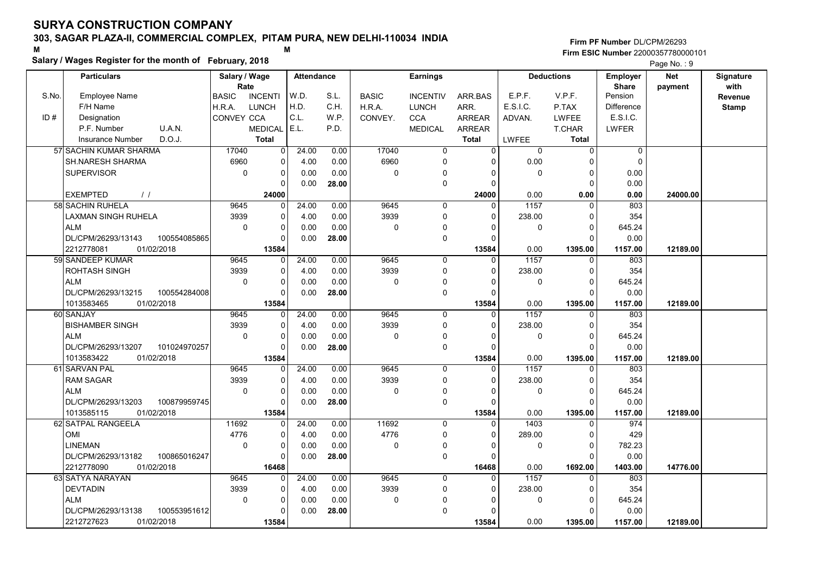### Salary / Wages Register for the month of February, 2018

#### Firm PF Number DL/CPM/26293 M<br>M Firm ESIC Number 22000357780000101

|       | <b>Particulars</b>                 | Salary / Wage        |                | <b>Attendance</b> |       |              | <b>Earnings</b> |                |          | <b>Deductions</b> | Employer                | <b>Net</b> | Signature       |
|-------|------------------------------------|----------------------|----------------|-------------------|-------|--------------|-----------------|----------------|----------|-------------------|-------------------------|------------|-----------------|
| S.No. | Employee Name                      | Rate<br><b>BASIC</b> | <b>INCENTI</b> | W.D.              | S.L.  | <b>BASIC</b> | <b>INCENTIV</b> | ARR.BAS        | E.P.F.   | V.P.F.            | <b>Share</b><br>Pension | payment    | with<br>Revenue |
|       | F/H Name                           | H.R.A.               | <b>LUNCH</b>   | H.D.              | C.H.  | H.R.A.       | LUNCH           | ARR.           | E.S.I.C. | P.TAX             | <b>Difference</b>       |            | <b>Stamp</b>    |
| ID#   | Designation                        | CONVEY CCA           |                | C.L.              | W.P.  | CONVEY.      | <b>CCA</b>      | <b>ARREAR</b>  | ADVAN.   | <b>LWFEE</b>      | E.S.I.C.                |            |                 |
|       | U.A.N.<br>P.F. Number              |                      | <b>MEDICAL</b> | E.L.              | P.D.  |              | <b>MEDICAL</b>  | <b>ARREAR</b>  |          | T.CHAR            | LWFER                   |            |                 |
|       | D.O.J.<br><b>Insurance Number</b>  |                      | <b>Total</b>   |                   |       |              |                 | <b>Total</b>   | LWFEE    | <b>Total</b>      |                         |            |                 |
|       | 57 SACHIN KUMAR SHARMA             | 17040                | $\mathbf 0$    | 24.00             | 0.00  | 17040        | 0               | $\overline{0}$ | 0        | $\mathbf 0$       | $\mathbf 0$             |            |                 |
|       | <b>SH.NARESH SHARMA</b>            | 6960                 | 0              | 4.00              | 0.00  | 6960         | 0               | $\Omega$       | 0.00     | $\Omega$          | $\mathbf 0$             |            |                 |
|       | <b>SUPERVISOR</b>                  | $\Omega$             | 0              | 0.00              | 0.00  | $\mathbf 0$  | $\Omega$        | $\Omega$       | $\Omega$ | $\Omega$          | 0.00                    |            |                 |
|       |                                    |                      | $\Omega$       | 0.00              | 28.00 |              | $\mathbf 0$     | $\Omega$       |          | $\Omega$          | 0.00                    |            |                 |
|       | <b>EXEMPTED</b><br>$\frac{1}{2}$   |                      | 24000          |                   |       |              |                 | 24000          | 0.00     | 0.00              | 0.00                    | 24000.00   |                 |
|       | 58 SACHIN RUHELA                   | 9645                 | $\mathbf 0$    | 24.00             | 0.00  | 9645         | 0               | $\mathbf{0}$   | 1157     | $\mathbf 0$       | 803                     |            |                 |
|       | LAXMAN SINGH RUHELA                | 3939                 | $\mathbf 0$    | 4.00              | 0.00  | 3939         | $\mathbf 0$     | 0              | 238.00   | $\Omega$          | 354                     |            |                 |
|       | <b>ALM</b>                         | $\Omega$             | 0              | 0.00              | 0.00  | $\mathbf 0$  | $\mathbf 0$     | $\Omega$       | 0        | $\Omega$          | 645.24                  |            |                 |
|       | DL/CPM/26293/13143<br>100554085865 |                      | $\Omega$       | 0.00              | 28.00 |              | $\mathbf 0$     | $\Omega$       |          | $\Omega$          | 0.00                    |            |                 |
|       | 2212778081<br>01/02/2018           |                      | 13584          |                   |       |              |                 | 13584          | 0.00     | 1395.00           | 1157.00                 | 12189.00   |                 |
|       | 59 SANDEEP KUMAR                   | 9645                 | 0              | 24.00             | 0.00  | 9645         | $\mathbf 0$     | $\mathbf 0$    | 1157     | 0                 | 803                     |            |                 |
|       | <b>ROHTASH SINGH</b>               | 3939                 | 0              | 4.00              | 0.00  | 3939         | $\mathbf 0$     | $\Omega$       | 238.00   | $\Omega$          | 354                     |            |                 |
|       | <b>ALM</b>                         | $\Omega$             | $\mathbf 0$    | 0.00              | 0.00  | $\Omega$     | $\mathbf 0$     | $\Omega$       | 0        | $\Omega$          | 645.24                  |            |                 |
|       | DL/CPM/26293/13215<br>100554284008 |                      | $\mathbf 0$    | 0.00              | 28.00 |              | $\mathbf 0$     | $\Omega$       |          | $\Omega$          | 0.00                    |            |                 |
|       | 1013583465<br>01/02/2018           |                      | 13584          |                   |       |              |                 | 13584          | 0.00     | 1395.00           | 1157.00                 | 12189.00   |                 |
|       | 60 SANJAY                          | 9645                 | $\mathbf 0$    | 24.00             | 0.00  | 9645         | $\mathbf 0$     | $\Omega$       | 1157     | $\mathbf 0$       | 803                     |            |                 |
|       | <b>BISHAMBER SINGH</b>             | 3939                 | $\mathbf 0$    | 4.00              | 0.00  | 3939         | $\mathbf 0$     | $\Omega$       | 238.00   | $\mathbf 0$       | 354                     |            |                 |
|       | <b>ALM</b>                         | $\Omega$             | $\Omega$       | 0.00              | 0.00  | $\mathbf 0$  | 0               | $\Omega$       | 0        | $\Omega$          | 645.24                  |            |                 |
|       | 101024970257<br>DL/CPM/26293/13207 |                      | $\Omega$       | 0.00              | 28.00 |              | $\mathbf 0$     | $\Omega$       |          | $\Omega$          | 0.00                    |            |                 |
|       | 1013583422<br>01/02/2018           |                      | 13584          |                   |       |              |                 | 13584          | 0.00     | 1395.00           | 1157.00                 | 12189.00   |                 |
|       | 61 SARVAN PAL                      | 9645                 | $\mathbf 0$    | 24.00             | 0.00  | 9645         | $\mathbf 0$     | $\mathbf{0}$   | 1157     | $\Omega$          | 803                     |            |                 |
|       | <b>RAM SAGAR</b>                   | 3939                 | $\mathbf 0$    | 4.00              | 0.00  | 3939         | $\mathbf 0$     | $\Omega$       | 238.00   | $\Omega$          | 354                     |            |                 |
|       | <b>ALM</b>                         | $\mathbf 0$          | 0              | 0.00              | 0.00  | 0            | 0               | 0              | 0        | $\mathbf 0$       | 645.24                  |            |                 |
|       | DL/CPM/26293/13203<br>100879959745 |                      | $\Omega$       | 0.00              | 28.00 |              | $\mathbf 0$     | $\Omega$       |          | $\Omega$          | 0.00                    |            |                 |
|       | 01/02/2018<br>1013585115           |                      | 13584          |                   |       |              |                 | 13584          | 0.00     | 1395.00           | 1157.00                 | 12189.00   |                 |
|       | 62 SATPAL RANGEELA                 | 11692                | $\Omega$       | 24.00             | 0.00  | 11692        | $\Omega$        | $\Omega$       | 1403     | $\mathbf 0$       | 974                     |            |                 |
|       | OMI                                | 4776                 | $\mathbf 0$    | 4.00              | 0.00  | 4776         | 0               | $\Omega$       | 289.00   | $\mathbf 0$       | 429                     |            |                 |
|       | <b>LINEMAN</b>                     | $\mathbf 0$          | 0              | 0.00              | 0.00  | 0            | $\mathbf 0$     | 0              | 0        | $\mathbf 0$       | 782.23                  |            |                 |
|       | DL/CPM/26293/13182<br>100865016247 |                      | $\Omega$       | 0.00              | 28.00 |              | $\mathbf 0$     | $\Omega$       |          | $\Omega$          | 0.00                    |            |                 |
|       | 2212778090<br>01/02/2018           |                      | 16468          |                   |       |              |                 | 16468          | 0.00     | 1692.00           | 1403.00                 | 14776.00   |                 |
|       | 63 SATYA NARAYAN                   | 9645                 | 0              | 24.00             | 0.00  | 9645         | $\mathbf 0$     | $\Omega$       | 1157     | $\Omega$          | 803                     |            |                 |
|       | <b>DEVTADIN</b>                    | 3939                 | $\mathbf 0$    | 4.00              | 0.00  | 3939         | $\mathbf 0$     | 0              | 238.00   | $\Omega$          | 354                     |            |                 |
|       | <b>ALM</b>                         | $\mathbf 0$          | $\pmb{0}$      | 0.00              | 0.00  | 0            | $\mathbf{0}$    | O              | 0        | $\Omega$          | 645.24                  |            |                 |
|       | DL/CPM/26293/13138<br>100553951612 |                      | $\Omega$       | 0.00              | 28.00 |              | $\mathbf{0}$    | $\Omega$       |          | $\Omega$          | 0.00                    |            |                 |
|       | 2212727623<br>01/02/2018           |                      | 13584          |                   |       |              |                 | 13584          | 0.00     | 1395.00           |                         | 12189.00   |                 |
|       |                                    |                      |                |                   |       |              |                 |                |          |                   | 1157.00                 |            |                 |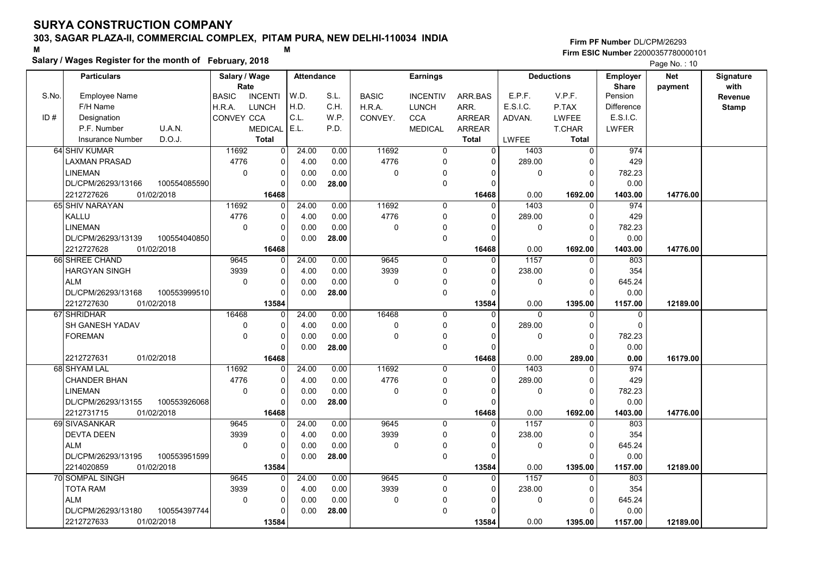### Salary / Wages Register for the month of February, 2018

|       | Salary / Wages Register for the month of February, 2018 |                                |                |                   |       |              |                 |                |                   |                   |              | Page No.: 10 |                  |
|-------|---------------------------------------------------------|--------------------------------|----------------|-------------------|-------|--------------|-----------------|----------------|-------------------|-------------------|--------------|--------------|------------------|
|       | <b>Particulars</b>                                      | Salary / Wage                  |                | <b>Attendance</b> |       |              | <b>Earnings</b> |                |                   | <b>Deductions</b> | Employer     | <b>Net</b>   | <b>Signature</b> |
|       |                                                         | Rate                           |                |                   |       |              |                 |                |                   |                   | <b>Share</b> | payment      | with             |
| S.No. | <b>Employee Name</b>                                    | <b>INCENTI</b><br><b>BASIC</b> |                | W.D.              | S.L.  | <b>BASIC</b> | <b>INCENTIV</b> | ARR.BAS        | E.P.F.            | V.P.F.            | Pension      |              | Revenue          |
|       | F/H Name                                                | H.R.A.<br><b>LUNCH</b>         |                | H.D.              | C.H.  | H.R.A.       | <b>LUNCH</b>    | ARR.           | E.S.I.C.          | P.TAX             | Difference   |              | <b>Stamp</b>     |
| ID#   | Designation                                             | <b>CONVEY CCA</b>              |                | C.L.              | W.P.  | CONVEY.      | <b>CCA</b>      | <b>ARREAR</b>  | ADVAN.            | <b>LWFEE</b>      | E.S.I.C.     |              |                  |
|       | U.A.N.<br>P.F. Number                                   | <b>MEDICAL</b>                 |                | E.L.              | P.D.  |              | <b>MEDICAL</b>  | <b>ARREAR</b>  |                   | <b>T.CHAR</b>     | <b>LWFER</b> |              |                  |
|       | D.O.J.<br>Insurance Number                              | <b>Total</b>                   |                |                   |       |              |                 | <b>Total</b>   | <b>LWFEE</b>      | <b>Total</b>      |              |              |                  |
|       | 64 SHIV KUMAR                                           | 11692                          | $\overline{0}$ | 24.00             | 0.00  | 11692        | $\overline{0}$  | $\overline{0}$ | 1403              | $\overline{0}$    | 974          |              |                  |
|       | LAXMAN PRASAD                                           | 4776                           | 0              | 4.00              | 0.00  | 4776         | 0               | $\Omega$       | 289.00            | $\Omega$          | 429          |              |                  |
|       | LINEMAN                                                 | $\mathbf 0$                    | 0              | 0.00              | 0.00  | $\mathbf 0$  | 0               | $\Omega$       | $\mathbf 0$       | $\mathbf 0$       | 782.23       |              |                  |
|       | DL/CPM/26293/13166<br>100554085590                      |                                | 0              | 0.00              | 28.00 |              | 0               | $\Omega$       |                   | $\Omega$          | 0.00         |              |                  |
|       | 2212727626<br>01/02/2018                                |                                | 16468          |                   |       |              |                 | 16468          | 0.00              | 1692.00           | 1403.00      | 14776.00     |                  |
|       | 65 SHIV NARAYAN                                         | 11692                          | O              | 24.00             | 0.00  | 11692        | 0               | $\Omega$       | 1403              | $\mathbf 0$       | 974          |              |                  |
|       | KALLU                                                   | 4776                           | 0              | 4.00              | 0.00  | 4776         | 0               | 0              | 289.00            | 0                 | 429          |              |                  |
|       | <b>LINEMAN</b>                                          | $\mathbf 0$                    | 0              | 0.00              | 0.00  | $\mathbf 0$  | 0               | $\Omega$       | $\mathbf 0$       | $\Omega$          | 782.23       |              |                  |
|       | DL/CPM/26293/13139<br>100554040850                      |                                | $\Omega$       | 0.00              | 28.00 |              | 0               | $\Omega$       |                   | $\Omega$          | 0.00         |              |                  |
|       | 2212727628<br>01/02/2018                                |                                | 16468          |                   |       |              |                 | 16468          | 0.00              | 1692.00           | 1403.00      | 14776.00     |                  |
|       | 66 SHREE CHAND                                          | 9645                           | 0              | 24.00             | 0.00  | 9645         | 0               | $\Omega$       | $\overline{1157}$ | $\Omega$          | 803          |              |                  |
|       | <b>HARGYAN SINGH</b>                                    | 3939                           | 0              | 4.00              | 0.00  | 3939         | 0               | $\Omega$       | 238.00            | $\Omega$          | 354          |              |                  |
|       | <b>ALM</b>                                              | $\Omega$                       | $\Omega$       | 0.00              | 0.00  | $\Omega$     | 0               | $\Omega$       | $\mathbf{0}$      | $\Omega$          | 645.24       |              |                  |
|       | DL/CPM/26293/13168<br>100553999510                      |                                | 0              | 0.00              | 28.00 |              | 0               | $\Omega$       |                   | $\Omega$          | 0.00         |              |                  |
|       | 2212727630<br>01/02/2018                                |                                | 13584          |                   |       |              |                 | 13584          | 0.00              | 1395.00           | 1157.00      | 12189.00     |                  |
|       | 67 SHRIDHAR                                             | 16468                          | $\Omega$       | 24.00             | 0.00  | 16468        | $\Omega$        | $\Omega$       | $\Omega$          | $\Omega$          | 0            |              |                  |
|       | SH GANESH YADAV                                         | 0                              | 0              | 4.00              | 0.00  | $\pmb{0}$    | 0               | $\Omega$       | 289.00            | $\Omega$          | $\Omega$     |              |                  |
|       | <b>FOREMAN</b>                                          | $\mathbf 0$                    | 0              | 0.00              | 0.00  | $\mathbf 0$  | $\Omega$        | $\Omega$       | $\mathbf 0$       | $\mathbf 0$       | 782.23       |              |                  |
|       |                                                         |                                | O              | 0.00              | 28.00 |              | 0               | $\Omega$       |                   | $\Omega$          | 0.00         |              |                  |
|       | 2212727631<br>01/02/2018                                |                                | 16468          |                   |       |              |                 | 16468          | 0.00              | 289.00            | 0.00         | 16179.00     |                  |
|       | 68 SHYAM LAL                                            | 11692                          | 0              | 24.00             | 0.00  | 11692        | 0               | $\Omega$       | 1403              | $\Omega$          | 974          |              |                  |
|       | <b>CHANDER BHAN</b>                                     | 4776                           | 0              | 4.00              | 0.00  | 4776         | 0               | $\Omega$       | 289.00            | $\Omega$          | 429          |              |                  |
|       | <b>LINEMAN</b>                                          | $\Omega$                       | 0              | 0.00              | 0.00  | $\Omega$     | 0               | $\Omega$       | 0                 | $\Omega$          | 782.23       |              |                  |
|       | DL/CPM/26293/13155<br>100553926068                      |                                | 0              | 0.00              | 28.00 |              | 0               | $\Omega$       |                   | $\Omega$          | 0.00         |              |                  |
|       | 2212731715<br>01/02/2018                                |                                | 16468          |                   |       |              |                 | 16468          | 0.00              | 1692.00           | 1403.00      | 14776.00     |                  |
|       | 69 SIVASANKAR                                           | 9645                           | 0              | 24.00             | 0.00  | 9645         | $\Omega$        | $\Omega$       | 1157              | $\mathbf{0}$      | 803          |              |                  |
|       | <b>DEVTA DEEN</b>                                       | 3939                           | 0              | 4.00              | 0.00  | 3939         | 0               | $\Omega$       | 238.00            | $\Omega$          | 354          |              |                  |
|       | <b>ALM</b>                                              | $\Omega$                       | 0              | 0.00              | 0.00  | $\mathbf 0$  | 0               | $\Omega$       | $\mathbf 0$       | $\Omega$          | 645.24       |              |                  |
|       | DL/CPM/26293/13195<br>100553951599                      |                                | $\Omega$       | 0.00              | 28.00 |              | 0               | $\Omega$       |                   | $\Omega$          | 0.00         |              |                  |
|       | 2214020859<br>01/02/2018                                |                                | 13584          |                   |       |              |                 | 13584          | 0.00              | 1395.00           | 1157.00      | 12189.00     |                  |
|       | 70 SOMPAL SINGH                                         | 9645                           | 0              | 24.00             | 0.00  | 9645         | $\Omega$        | 0              | 1157              | $\Omega$          | 803          |              |                  |
|       | <b>TOTA RAM</b>                                         | 3939                           | 0              | 4.00              | 0.00  | 3939         | 0               | $\Omega$       | 238.00            | $\Omega$          | 354          |              |                  |
|       | <b>ALM</b>                                              | $\mathbf 0$                    | 0              | 0.00              | 0.00  | $\mathbf 0$  | $\mathbf 0$     | 0              | $\mathbf 0$       | $\Omega$          | 645.24       |              |                  |
|       | DL/CPM/26293/13180<br>100554397744                      |                                | $\Omega$       | 0.00              | 28.00 |              | 0               | $\Omega$       |                   | $\Omega$          | 0.00         |              |                  |
|       | 2212727633<br>01/02/2018                                |                                | 13584          |                   |       |              |                 | 13584          | 0.00              | 1395.00           | 1157.00      | 12189.00     |                  |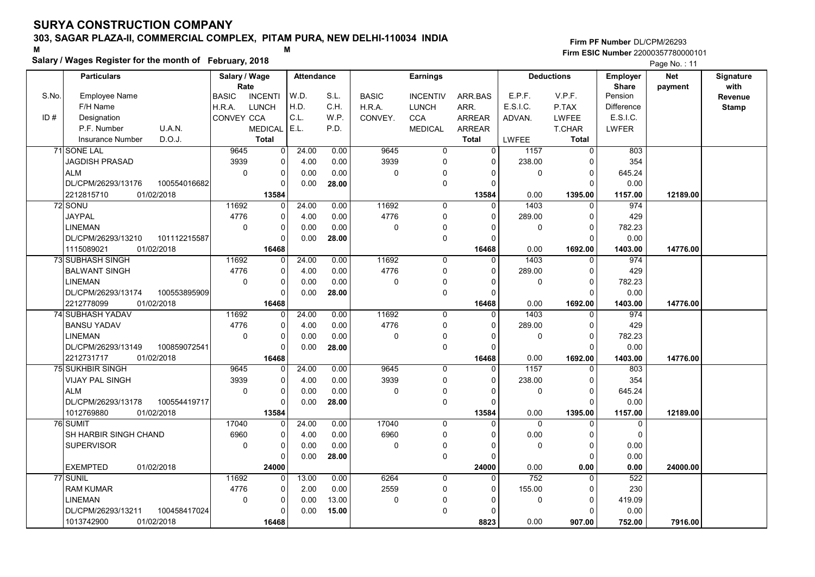### Salary / Wages Register for the month of February, 2018

#### Firm PF Number DL/CPM/26293 M<br>M Firm ESIC Number 22000357780000101

|       | <b>Particulars</b>                   | Salary / Wage<br>Rate |                | <b>Attendance</b> |              |              | <b>Earnings</b> |                   |                  | <b>Deductions</b>      | Employer<br><b>Share</b> | <b>Net</b> | Signature<br>with |
|-------|--------------------------------------|-----------------------|----------------|-------------------|--------------|--------------|-----------------|-------------------|------------------|------------------------|--------------------------|------------|-------------------|
| S.No. | Employee Name                        | <b>BASIC</b>          | <b>INCENTI</b> | W.D.              | S.L.         | <b>BASIC</b> | <b>INCENTIV</b> | ARR.BAS           | E.P.F.           | V.P.F.                 | Pension                  | payment    | Revenue           |
|       | F/H Name                             | H.R.A.                | <b>LUNCH</b>   | H.D.              | C.H.         | H.R.A.       | <b>LUNCH</b>    | ARR.              | E.S.I.C.         | P.TAX                  | <b>Difference</b>        |            | <b>Stamp</b>      |
| ID#   | Designation                          | CONVEY CCA            |                | C.L.              | W.P.         | CONVEY.      | <b>CCA</b>      | <b>ARREAR</b>     | ADVAN.           | <b>LWFEE</b>           | E.S.I.C.                 |            |                   |
|       | U.A.N.<br>P.F. Number                |                       | <b>MEDICAL</b> | E.L.              | P.D.         |              | <b>MEDICAL</b>  | <b>ARREAR</b>     |                  | <b>T.CHAR</b>          | LWFER                    |            |                   |
|       | D.O.J.<br><b>Insurance Number</b>    |                       | <b>Total</b>   |                   |              |              |                 | <b>Total</b>      | <b>LWFEE</b>     | <b>Total</b>           |                          |            |                   |
|       | 71 SONE LAL                          | 9645                  | 0              | 24.00             | 0.00         | 9645         | 0               | $\overline{0}$    | 1157             | $\mathbf 0$            | 803                      |            |                   |
|       | <b>JAGDISH PRASAD</b>                | 3939                  | 0              | 4.00              | 0.00         | 3939         | 0               | 0                 | 238.00           | $\Omega$               | 354                      |            |                   |
|       | <b>ALM</b>                           | $\mathbf 0$           | 0              | 0.00              | 0.00         | $\mathbf 0$  | 0               | 0                 | $\mathbf 0$      | $\Omega$               | 645.24                   |            |                   |
|       | DL/CPM/26293/13176<br>100554016682   |                       | $\Omega$       | 0.00              | 28.00        |              | 0               | $\Omega$          |                  | $\Omega$               | 0.00                     |            |                   |
|       | 2212815710<br>01/02/2018             |                       | 13584          |                   |              |              |                 | 13584             | 0.00             | 1395.00                | 1157.00                  | 12189.00   |                   |
|       | 72 SONU                              | 11692                 | $\Omega$       | 24.00             | 0.00         | 11692        | $\mathbf 0$     | $\Omega$          | 1403             | $\mathbf 0$            | 974                      |            |                   |
|       | <b>JAYPAL</b>                        | 4776                  | 0              | 4.00              | 0.00         | 4776         | 0               | $\Omega$          | 289.00           | $\mathbf 0$            | 429                      |            |                   |
|       | <b>LINEMAN</b>                       | $\mathbf 0$           | 0              | 0.00              | 0.00         | $\mathbf 0$  | 0               | $\Omega$          | $\mathbf 0$      | $\mathbf 0$            | 782.23                   |            |                   |
|       | DL/CPM/26293/13210<br>101112215587   |                       | U              | 0.00              | 28.00        |              | 0               | 0                 |                  | $\mathbf 0$            | 0.00                     |            |                   |
|       | 1115089021<br>01/02/2018             |                       | 16468          |                   |              |              |                 | 16468             | 0.00             | 1692.00                | 1403.00                  | 14776.00   |                   |
|       | <b>73 SUBHASH SINGH</b>              | 11692                 | $\Omega$       | 24.00             | 0.00         | 11692        | $\mathbf 0$     | $\mathbf{0}$      | 1403             | $\mathbf 0$            | 974                      |            |                   |
|       | <b>BALWANT SINGH</b>                 | 4776                  | 0              | 4.00              | 0.00         | 4776         | 0               | 0                 | 289.00           | $\mathbf 0$            | 429                      |            |                   |
|       | <b>LINEMAN</b>                       | $\Omega$              | 0              | 0.00              | 0.00         | $\mathbf 0$  | 0               | $\Omega$          | 0                | $\mathbf 0$            | 782.23                   |            |                   |
|       | DL/CPM/26293/13174<br>100553895909   |                       | $\Omega$       | 0.00              | 28.00        |              | 0               | $\Omega$          |                  | $\Omega$               | 0.00                     |            |                   |
|       | 2212778099<br>01/02/2018             |                       | 16468          |                   |              |              |                 | 16468             | 0.00             | 1692.00                | 1403.00                  | 14776.00   |                   |
|       | 74 SUBHASH YADAV                     | 11692                 | $\Omega$       | 24.00             | 0.00         | 11692        | $\mathbf 0$     | $\Omega$          | 1403             | $\mathbf 0$            | 974                      |            |                   |
|       | <b>BANSU YADAV</b>                   | 4776                  | 0              | 4.00              | 0.00         | 4776         | 0               | $\Omega$          | 289.00           | $\mathbf 0$            | 429                      |            |                   |
|       | <b>LINEMAN</b>                       | $\mathbf 0$           | $\Omega$       | 0.00              | 0.00         | $\mathbf 0$  | 0               | $\Omega$          | 0                | $\Omega$               | 782.23                   |            |                   |
|       | DL/CPM/26293/13149<br>100859072541   |                       | $\Omega$       | 0.00              | 28.00        |              | 0               | $\Omega$          |                  | $\Omega$               | 0.00                     |            |                   |
|       | 2212731717<br>01/02/2018             |                       | 16468          |                   |              |              |                 | 16468             | 0.00             | 1692.00                | 1403.00                  | 14776.00   |                   |
|       | <b>75 SUKHBIR SINGH</b>              | 9645                  | $\Omega$       | 24.00             | 0.00         | 9645         | $\mathbf 0$     | $\Omega$          | 1157             | $\mathbf 0$            | 803                      |            |                   |
|       | VIJAY PAL SINGH                      | 3939                  | 0              | 4.00              | 0.00         | 3939         | 0               | 0                 | 238.00           | $\mathbf 0$            | 354                      |            |                   |
|       | <b>ALM</b>                           | $\Omega$              | $\Omega$       | 0.00              | 0.00         | $\Omega$     | 0               | $\Omega$          | $\mathbf 0$      | $\mathbf 0$            | 645.24                   |            |                   |
|       | 100554419717<br>DL/CPM/26293/13178   |                       | $\mathbf 0$    | 0.00              | 28.00        |              | 0               | $\Omega$          |                  | $\Omega$               | 0.00                     |            |                   |
|       | 1012769880<br>01/02/2018<br>76 SUMIT | 17040                 | 13584<br>0     | 24.00             | 0.00         | 17040        | $\Omega$        | 13584<br>$\Omega$ | 0.00<br>$\Omega$ | 1395.00                | 1157.00                  | 12189.00   |                   |
|       |                                      | 6960                  | 0              |                   |              | 6960         | 0               | $\Omega$          |                  | $\Omega$<br>$\Omega$   | $\mathbf 0$<br>$\Omega$  |            |                   |
|       | SH HARBIR SINGH CHAND                | $\mathbf 0$           | 0              | 4.00<br>0.00      | 0.00<br>0.00 | $\mathbf 0$  |                 | $\Omega$          | 0.00             | $\Omega$               | 0.00                     |            |                   |
|       | <b>SUPERVISOR</b>                    |                       | $\Omega$       | 0.00              |              |              | 0<br>$\Omega$   | $\Omega$          | 0                | $\mathbf{0}$           | 0.00                     |            |                   |
|       | <b>EXEMPTED</b><br>01/02/2018        |                       |                |                   | 28.00        |              |                 |                   | 0.00             |                        |                          |            |                   |
|       | 77 SUNIL                             | 11692                 | 24000<br>0     | 13.00             | 0.00         | 6264         | $\overline{0}$  | 24000<br>0        | 752              | 0.00<br>$\overline{0}$ | 0.00<br>522              | 24000.00   |                   |
|       | <b>RAM KUMAR</b>                     | 4776                  | 0              | 2.00              | 0.00         | 2559         | 0               | $\mathbf{0}$      | 155.00           | 0                      | 230                      |            |                   |
|       | <b>LINEMAN</b>                       | $\mathbf 0$           | 0              | 0.00              | 13.00        | $\mathbf 0$  | 0               | $\mathbf{0}$      | 0                | $\mathbf 0$            | 419.09                   |            |                   |
|       | 100458417024<br>DL/CPM/26293/13211   |                       | 0              | 0.00              | 15.00        |              | $\Omega$        | $\Omega$          |                  | $\Omega$               | 0.00                     |            |                   |
|       | 1013742900<br>01/02/2018             |                       | 16468          |                   |              |              |                 | 8823              | 0.00             | 907.00                 | 752.00                   | 7916.00    |                   |
|       |                                      |                       |                |                   |              |              |                 |                   |                  |                        |                          |            |                   |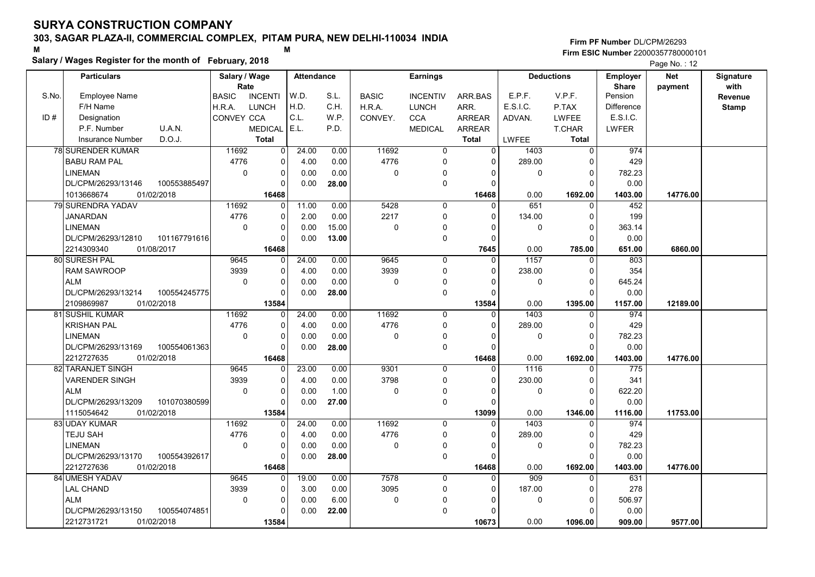### Salary / Wages Register for the month of February, 2018

Firm PF Number DL/CPM/26293 M<br>M Firm ESIC Number 22000357780000101

|       | <b>Particulars</b>                 | Salary / Wage        |                | <b>Attendance</b> |       |                | <b>Earnings</b> |                |          | <b>Deductions</b> | Employer                | <b>Net</b> | Signature       |
|-------|------------------------------------|----------------------|----------------|-------------------|-------|----------------|-----------------|----------------|----------|-------------------|-------------------------|------------|-----------------|
| S.No. | <b>Employee Name</b>               | Rate<br><b>BASIC</b> | <b>INCENTI</b> | W.D.              | S.L.  | <b>BASIC</b>   | <b>INCENTIV</b> | ARR.BAS        | E.P.F.   | V.P.F.            | <b>Share</b><br>Pension | payment    | with<br>Revenue |
|       | F/H Name                           | H.R.A.               | <b>LUNCH</b>   | H.D.              | C.H.  | H.R.A.         | <b>LUNCH</b>    | ARR.           | E.S.I.C. | P.TAX             | <b>Difference</b>       |            | <b>Stamp</b>    |
| ID#   | Designation                        | CONVEY CCA           |                | C.L.              | W.P.  | CONVEY.        | <b>CCA</b>      | <b>ARREAR</b>  | ADVAN.   | <b>LWFEE</b>      | E.S.I.C.                |            |                 |
|       | U.A.N.<br>P.F. Number              |                      | <b>MEDICAL</b> | E.L.              | P.D.  |                | <b>MEDICAL</b>  | ARREAR         |          | T.CHAR            | LWFER                   |            |                 |
|       | D.O.J.<br><b>Insurance Number</b>  |                      | <b>Total</b>   |                   |       |                |                 | <b>Total</b>   | LWFEE    | <b>Total</b>      |                         |            |                 |
|       |                                    |                      |                |                   |       |                |                 |                |          |                   |                         |            |                 |
|       | <b>78 SURENDER KUMAR</b>           | 11692                | $\overline{0}$ | 24.00             | 0.00  | 11692          | $\mathbf 0$     | $\overline{0}$ | 1403     | $\mathbf 0$       | 974                     |            |                 |
|       | <b>BABU RAM PAL</b>                | 4776                 | 0              | 4.00              | 0.00  | 4776           | 0               | 0              | 289.00   | $\Omega$          | 429                     |            |                 |
|       | <b>LINEMAN</b>                     | $\mathbf 0$          | 0              | 0.00              | 0.00  | 0              | 0               | $\Omega$       | 0        | $\mathbf 0$       | 782.23                  |            |                 |
|       | DL/CPM/26293/13146<br>100553885497 |                      | $\Omega$       | 0.00              | 28.00 |                | $\mathbf 0$     | $\Omega$       |          | $\Omega$          | 0.00                    |            |                 |
|       | 1013668674<br>01/02/2018           |                      | 16468          |                   |       |                |                 | 16468          | 0.00     | 1692.00           | 1403.00                 | 14776.00   |                 |
|       | 79 SURENDRA YADAV                  | 11692                | $\Omega$       | 11.00             | 0.00  | 5428           | $\Omega$        | $\Omega$       | 651      | $\Omega$          | 452                     |            |                 |
|       | <b>JANARDAN</b>                    | 4776                 | 0              | 2.00              | 0.00  | 2217           | $\mathbf 0$     | $\Omega$       | 134.00   | $\mathbf 0$       | 199                     |            |                 |
|       | <b>LINEMAN</b>                     | $\mathbf 0$          | 0              | 0.00              | 15.00 | 0              | $\mathbf{0}$    | $\Omega$       | 0        | $\overline{0}$    | 363.14                  |            |                 |
|       | DL/CPM/26293/12810<br>101167791616 |                      | $\Omega$       | 0.00              | 13.00 |                | $\mathbf 0$     | 0              |          | $\Omega$          | 0.00                    |            |                 |
|       | 2214309340<br>01/08/2017           |                      | 16468          |                   |       |                |                 | 7645           | 0.00     | 785.00            | 651.00                  | 6860.00    |                 |
|       | 80 SURESH PAL                      | 9645                 | $\Omega$       | 24.00             | 0.00  | 9645           | 0               | $\Omega$       | 1157     | 0                 | 803                     |            |                 |
|       | <b>RAM SAWROOP</b>                 | 3939                 | 0              | 4.00              | 0.00  | 3939           | $\mathbf{0}$    | $\Omega$       | 238.00   | $\Omega$          | 354                     |            |                 |
|       | <b>ALM</b>                         | $\mathbf 0$          | 0              | 0.00              | 0.00  | 0              | 0               | $\Omega$       | 0        | $\mathbf 0$       | 645.24                  |            |                 |
|       | DL/CPM/26293/13214<br>100554245775 |                      | $\Omega$       | 0.00              | 28.00 |                | $\mathbf 0$     | $\Omega$       |          | $\Omega$          | 0.00                    |            |                 |
|       | 2109869987<br>01/02/2018           |                      | 13584          |                   |       |                |                 | 13584          | 0.00     | 1395.00           | 1157.00                 | 12189.00   |                 |
|       | <b>81 SUSHIL KUMAR</b>             | 11692                | $\Omega$       | 24.00             | 0.00  | 11692          | $\mathbf 0$     | $\Omega$       | 1403     | $\Omega$          | 974                     |            |                 |
|       | <b>KRISHAN PAL</b>                 | 4776                 | 0              | 4.00              | 0.00  | 4776           | $\mathbf 0$     | $\Omega$       | 289.00   | $\Omega$          | 429                     |            |                 |
|       | <b>LINEMAN</b>                     | $\Omega$             | $\Omega$       | 0.00              | 0.00  | $\Omega$       | $\mathbf 0$     | $\Omega$       | 0        | $\Omega$          | 782.23                  |            |                 |
|       | DL/CPM/26293/13169<br>100554061363 |                      | $\Omega$       | 0.00              | 28.00 |                | $\mathbf 0$     | $\Omega$       |          | $\Omega$          | 0.00                    |            |                 |
|       | 2212727635<br>01/02/2018           |                      | 16468          |                   |       |                |                 | 16468          | 0.00     | 1692.00           | 1403.00                 | 14776.00   |                 |
|       | 82 TARANJET SINGH                  | 9645                 | 0              | 23.00             | 0.00  | 9301           | $\mathbf 0$     | $\Omega$       | 1116     | $\Omega$          | $\overline{775}$        |            |                 |
|       | <b>VARENDER SINGH</b>              | 3939                 | 0              | 4.00              | 0.00  | 3798           | $\mathbf 0$     | $\Omega$       | 230.00   | $\Omega$          | 341                     |            |                 |
|       | <b>ALM</b>                         | $\mathbf 0$          | 0              | 0.00              | 1.00  | 0              | 0               | $\Omega$       | 0        | $\mathbf 0$       | 622.20                  |            |                 |
|       | DL/CPM/26293/13209<br>101070380599 |                      | $\Omega$       | 0.00              | 27.00 |                | $\mathbf 0$     | $\Omega$       |          | $\Omega$          | 0.00                    |            |                 |
|       | 01/02/2018<br>1115054642           |                      | 13584          |                   |       |                |                 | 13099          | 0.00     | 1346.00           | 1116.00                 | 11753.00   |                 |
|       | 83 UDAY KUMAR                      | 11692                | $\Omega$       | 24.00             | 0.00  | 11692          | $\Omega$        | $\Omega$       | 1403     | $\Omega$          | 974                     |            |                 |
|       | <b>TEJU SAH</b>                    | 4776                 | 0              | 4.00              | 0.00  | 4776           | 0               | $\Omega$       | 289.00   | $\Omega$          | 429                     |            |                 |
|       | <b>LINEMAN</b>                     | $\mathbf 0$          | 0              | 0.00              | 0.00  | $\overline{0}$ | $\mathbf 0$     | 0              | 0        | $\Omega$          | 782.23                  |            |                 |
|       | DL/CPM/26293/13170<br>100554392617 |                      | 0              | 0.00              | 28.00 |                | $\mathbf 0$     | $\Omega$       |          | $\Omega$          | 0.00                    |            |                 |
|       | 2212727636<br>01/02/2018           |                      | 16468          |                   |       |                |                 | 16468          | 0.00     | 1692.00           | 1403.00                 | 14776.00   |                 |
|       | 84 UMESH YADAV                     | 9645                 | 0              | 19.00             | 0.00  | 7578           | 0               | $\mathbf 0$    | 909      | 0                 | 631                     |            |                 |
|       | <b>LAL CHAND</b>                   | 3939                 | 0              | 3.00              | 0.00  | 3095           | $\mathbf 0$     | $\Omega$       | 187.00   | 0                 | 278                     |            |                 |
|       | <b>ALM</b>                         | $\mathbf 0$          | 0              | 0.00              | 6.00  | 0              | $\mathbf{0}$    | $\Omega$       | 0        | $\Omega$          | 506.97                  |            |                 |
|       | DL/CPM/26293/13150<br>100554074851 |                      | U              | 0.00              |       |                | $\mathbf 0$     | $\Omega$       |          | $\Omega$          | 0.00                    |            |                 |
|       |                                    |                      |                |                   | 22.00 |                |                 |                |          |                   |                         |            |                 |
|       | 2212731721<br>01/02/2018           |                      | 13584          |                   |       |                |                 | 10673          | 0.00     | 1096.00           | 909.00                  | 9577.00    |                 |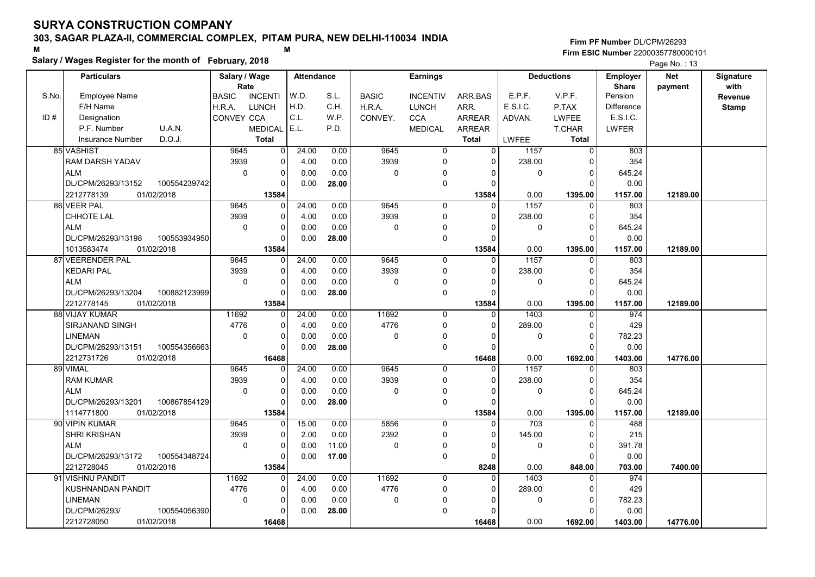### Salary / Wages Register for the month of February, 2018

|       | Salary / wages Register for the month of February, 2018 | Page No.: 13                   |                         |       |              |                 |                |                   |                |                   |            |                  |
|-------|---------------------------------------------------------|--------------------------------|-------------------------|-------|--------------|-----------------|----------------|-------------------|----------------|-------------------|------------|------------------|
|       | Particulars                                             | Salary / Wage                  | <b>Attendance</b>       |       |              | <b>Earnings</b> |                | <b>Deductions</b> |                | <b>Employer</b>   | <b>Net</b> | <b>Signature</b> |
|       |                                                         | Rate                           |                         |       |              |                 |                |                   | <b>Share</b>   | payment           | with       |                  |
| S.No. | <b>Employee Name</b>                                    | <b>BASIC</b><br><b>INCENTI</b> | W.D.                    | S.L.  | <b>BASIC</b> | <b>INCENTIV</b> | ARR BAS        | E.P.F.            | V.P.F.         | Pension           |            | Revenue          |
|       | F/H Name                                                | <b>LUNCH</b><br>H.R.A.         | H.D.                    | C.H.  | H.R.A.       | <b>LUNCH</b>    | ARR.           | E.S.I.C.          | P.TAX          | <b>Difference</b> |            | <b>Stamp</b>     |
| ID#   | Designation                                             | CONVEY CCA                     | C.L.                    | W.P.  | CONVEY.      | <b>CCA</b>      | <b>ARREAR</b>  | ADVAN.            | <b>LWFEE</b>   | E.S.I.C.          |            |                  |
|       | U.A.N.<br>P.F. Number                                   | <b>MEDICAL</b>                 | E.L.                    | P.D.  |              | <b>MEDICAL</b>  | <b>ARREAR</b>  |                   | <b>T.CHAR</b>  | <b>LWFER</b>      |            |                  |
|       | D.O.J.<br>Insurance Number                              | <b>Total</b>                   |                         |       |              |                 | <b>Total</b>   | <b>LWFEE</b>      | <b>Total</b>   |                   |            |                  |
|       | 85 VASHIST                                              | 9645                           | 24.00<br>$\overline{0}$ | 0.00  | 9645         | $\overline{0}$  | $\overline{0}$ | 1157              | $\overline{0}$ | 803               |            |                  |
|       | <b>RAM DARSH YADAV</b>                                  | 3939                           | 0<br>4.00               | 0.00  | 3939         | $\mathbf 0$     | $\Omega$       | 238.00            | $\Omega$       | 354               |            |                  |
|       | <b>ALM</b>                                              | $\mathbf 0$                    | 0<br>0.00               | 0.00  | 0            | $\mathbf 0$     | 0              | 0                 | $\Omega$       | 645.24            |            |                  |
|       | DL/CPM/26293/13152<br>100554239742                      |                                | $\Omega$<br>0.00        | 28.00 |              | $\mathbf 0$     | $\Omega$       |                   | $\Omega$       | 0.00              |            |                  |
|       | 2212778139<br>01/02/2018                                | 13584                          |                         |       |              |                 | 13584          | 0.00              | 1395.00        | 1157.00           | 12189.00   |                  |
|       | 86 VEER PAL                                             | 9645                           | 24.00<br>$\Omega$       | 0.00  | 9645         | $\mathbf 0$     | $\Omega$       | 1157              | $\Omega$       | 803               |            |                  |
|       | CHHOTE LAL                                              | 3939                           | 4.00<br>0               | 0.00  | 3939         | $\pmb{0}$       | $\Omega$       | 238.00            | $\Omega$       | 354               |            |                  |
|       | <b>ALM</b>                                              | $\mathbf 0$                    | 0.00<br>0               | 0.00  | $\mathbf 0$  | $\mathbf 0$     | $\Omega$       | 0                 | $\Omega$       | 645.24            |            |                  |
|       | DL/CPM/26293/13198<br>100553934950                      | $\Omega$                       | 0.00                    | 28.00 |              | $\mathbf 0$     | $\Omega$       |                   | $\Omega$       | 0.00              |            |                  |
|       | 01/02/2018<br>1013583474                                | 13584                          |                         |       |              |                 | 13584          | 0.00              | 1395.00        | 1157.00           | 12189.00   |                  |
|       | 87 VEERENDER PAL                                        | 9645                           | 24.00<br>0              | 0.00  | 9645         | $\mathbf 0$     | $\Omega$       | 1157              | $\mathbf 0$    | 803               |            |                  |
|       | <b>KEDARI PAL</b>                                       | 3939                           | 0<br>4.00               | 0.00  | 3939         | $\mathbf 0$     | $\Omega$       | 238.00            | $\Omega$       | 354               |            |                  |
|       | <b>ALM</b>                                              | $\Omega$                       | $\Omega$<br>0.00        | 0.00  | $\Omega$     | $\mathbf 0$     | $\Omega$       | $\Omega$          | $\Omega$       | 645.24            |            |                  |
|       | DL/CPM/26293/13204<br>100882123999                      |                                | 0.00<br>$\Omega$        | 28.00 |              | $\mathbf 0$     | $\Omega$       |                   | $\Omega$       | 0.00              |            |                  |
|       | 2212778145<br>01/02/2018                                | 13584                          |                         |       |              |                 | 13584          | 0.00              | 1395.00        | 1157.00           | 12189.00   |                  |
|       | 88 VIJAY KUMAR                                          | 11692                          | 24.00<br>$\overline{0}$ | 0.00  | 11692        | $\Omega$        | $\Omega$       | 1403              | $\Omega$       | 974               |            |                  |
|       | SIRJANAND SINGH                                         | 4776                           | 4.00<br>0               | 0.00  | 4776         | $\pmb{0}$       | $\Omega$       | 289.00            | $\Omega$       | 429               |            |                  |
|       | <b>LINEMAN</b>                                          | $\mathbf 0$                    | 0<br>0.00               | 0.00  | $\mathbf{0}$ | 0               | $\mathbf{0}$   | 0                 | 0              | 782.23            |            |                  |
|       | DL/CPM/26293/13151<br>100554356663                      |                                | 0.00<br>0               | 28.00 |              | $\mathbf 0$     | $\Omega$       |                   | $\Omega$       | 0.00              |            |                  |
|       | 2212731726<br>01/02/2018                                | 16468                          |                         |       |              |                 | 16468          | 0.00              | 1692.00        | 1403.00           | 14776.00   |                  |
|       | 89 VIMAL                                                | 9645                           | 24.00<br>0              | 0.00  | 9645         | $\mathbf 0$     | $\Omega$       | 1157              | $\mathbf{0}$   | 803               |            |                  |
|       | <b>RAM KUMAR</b>                                        | 3939                           | 0<br>4.00               | 0.00  | 3939         | $\mathbf 0$     | $\Omega$       | 238.00            | $\Omega$       | 354               |            |                  |
|       | <b>ALM</b>                                              | $\Omega$                       | 0.00<br>0               | 0.00  | $\Omega$     | $\mathbf 0$     | $\Omega$       | $\Omega$          | $\Omega$       | 645.24            |            |                  |
|       | DL/CPM/26293/13201<br>100867854129                      |                                | $\Omega$<br>0.00        | 28.00 |              | $\mathbf 0$     | $\Omega$       |                   | $\Omega$       | 0.00              |            |                  |
|       | 1114771800<br>01/02/2018                                | 13584                          |                         |       |              |                 | 13584          | 0.00              | 1395.00        | 1157.00           | 12189.00   |                  |
|       | 90 VIPIN KUMAR                                          | 9645                           | 15.00<br>$\Omega$       | 0.00  | 5856         | $\Omega$        | $\Omega$       | 703               | $\Omega$       | 488               |            |                  |
|       | <b>SHRI KRISHAN</b>                                     | 3939                           | 2.00<br>0               | 0.00  | 2392         | $\mathbf 0$     | $\Omega$       | 145.00            | $\mathbf 0$    | 215               |            |                  |
|       | <b>ALM</b>                                              | $\Omega$                       | $\Omega$<br>0.00        | 11.00 | 0            | $\mathbf 0$     | $\Omega$       | 0                 | $\Omega$       | 391.78            |            |                  |
|       | DL/CPM/26293/13172<br>100554348724                      |                                | 0<br>0.00               | 17.00 |              | $\mathbf 0$     | $\Omega$       |                   | $\Omega$       | 0.00              |            |                  |
|       | 2212728045<br>01/02/2018                                | 13584                          |                         |       |              |                 | 8248           | 0.00              | 848.00         | 703.00            | 7400.00    |                  |
|       | 91 VISHNU PANDIT                                        | 11692                          | 24.00<br>0              | 0.00  | 11692        | $\mathbf 0$     | 0              | 1403              | $\Omega$       | 974               |            |                  |
|       | KUSHNANDAN PANDIT                                       | 4776                           | 0<br>4.00               | 0.00  | 4776         | $\mathbf 0$     | $\Omega$       | 289.00            | $\Omega$       | 429               |            |                  |
|       | <b>LINEMAN</b>                                          | $\mathbf 0$                    | 0<br>0.00               | 0.00  | $\mathbf 0$  | $\mathbf 0$     | $\Omega$       | 0                 | $\mathbf 0$    | 782.23            |            |                  |
|       | DL/CPM/26293/<br>100554056390                           |                                | 0<br>0.00               | 28.00 |              | $\Omega$        | $\Omega$       |                   | $\Omega$       | 0.00              |            |                  |
|       | 2212728050<br>01/02/2018                                | 16468                          |                         |       |              |                 | 16468          | 0.00              | 1692.00        | 1403.00           | 14776.00   |                  |